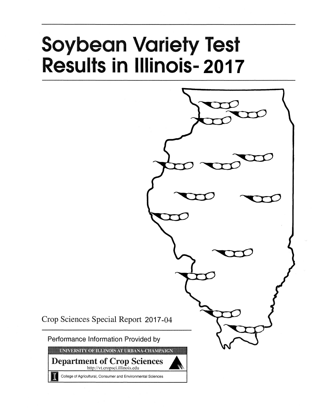# **Soybean Variety Test Results in Illinois-2017**



Crop Sciences Special Report 2017-04

Performance Information Provided by

UNIVERSITY OF ILLINOIS AT URBANA-CHAMPAIGN

**Department of Crop Sciences** http://vt.cropsci.illinois.edu

College of Agricultural, Consumer and Environmental Sciences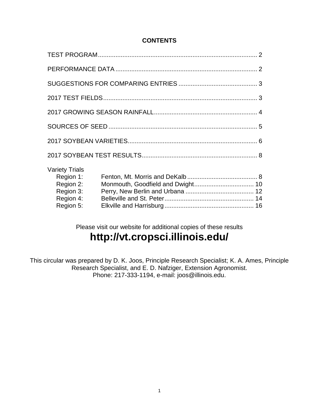# **CONTENTS**

| <b>Variety Trials</b><br>Region 1:<br>Region 2:<br>Region 3:<br>Region 4:<br>Region 5: |  |  |  |  |  |  |  |  |  |  |
|----------------------------------------------------------------------------------------|--|--|--|--|--|--|--|--|--|--|

Please visit our website for additional copies of these results **http://vt.cropsci.illinois.edu/**

This circular was prepared by D. K. Joos, Principle Research Specialist; K. A. Ames, Principle Research Specialist, and E. D. Nafziger, Extension Agronomist. Phone: 217-333-1194, e-mail: joos@illinois.edu.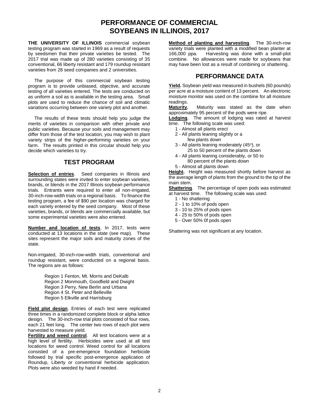# **PERFORMANCE OF COMMERCIAL SOYBEANS IN ILLINOIS, 2017**

**THE UNIVERSITY OF ILLINOIS** commercial soybean testing program was started in 1969 as a result of requests by seedsmen that their private varieties be tested. The 2017 trial was made up of 280 varieties consisting of 35 conventional, 66 liberty resistant and 179 roundup resistant varieties from 28 seed companies and 2 universities.

The purpose of this commercial soybean testing program is to provide unbiased, objective, and accurate testing of all varieties entered. The tests are conducted on as uniform a soil as is available in the testing area. Small plots are used to reduce the chance of soil and climatic variations occurring between one variety plot and another.

The results of these tests should help you judge the merits of varieties in comparison with other private and public varieties. Because your soils and management may differ from those of the test location, you may wish to plant variety strips of the higher-performing varieties on your farm. The results printed in this circular should help you decide which varieties to try.

# **TEST PROGRAM**

**Selection of entries**. Seed companies in Illinois and surrounding states were invited to enter soybean varieties, brands, or blends in the 2017 Illinois soybean performance trials. Entrants were required to enter all non-irrigated, 30-inch-row-width trials on a regional basis. To finance the testing program, a fee of \$90 per location was charged for each variety entered by the seed company. Most of these varieties, brands, or blends are commercially available, but some experimental varieties were also entered.

**Number and location of tests**. In 2017, tests were conducted at 13 locations in the state (see map). These sites represent the major soils and maturity zones of the state.

Non-irrigated, 30-inch-row-width trials, conventional and roundup resistant, were conducted on a regional basis. The regions are as follows:

> Region 1 Fenton, Mt. Morris and DeKalb Region 2 Monmouth, Goodfield and Dwight Region 3 Perry, New Berlin and Urbana Region 4 St. Peter and Belleville Region 5 Elkville and Harrisburg

**Field plot design**. Entries of each test were replicated three times in a randomized complete block or alpha lattice design. The 30-inch-row trial plots consisted of four rows, each 21 feet long. The center two rows of each plot were harvested to measure yield.

**Fertility and weed control**. All test locations were at a high level of fertility. Herbicides were used at all test locations for weed control. Weed control for all locations consisted of a pre-emergence foundation herbicide followed by trial specific post-emergence application of Roundup, Liberty or conventional herbicide application. Plots were also weeded by hand if needed.

**Method of planting and harvesting**. The 30-inch-row variety trials were planted with a modified bean planter at 166,000 ppa. Harvesting was done with a small-plot combine. No allowances were made for soybeans that may have been lost as a result of combining or shattering.

# **PERFORMANCE DATA**

**Yield.** Soybean yield was measured in bushels (60 pounds) per acre at a moisture content of 13 percent. An electronic moisture monitor was used on the combine for all moisture readings.

**Maturity.** Maturity was stated as the date when approximately 95 percent of the pods were ripe.

**Lodging**. The amount of lodging was rated at harvest time. The following scale was used:

- 1 Almost all plants erect
- 2 All plants leaning slightly or a
	- few plants down
- 3 All plants leaning moderately (45°), or 25 to 50 percent of the plants down
- 4 All plants leaning considerably, or 50 to 80 percent of the plants down
- 5 Almost all plants down

**Height.** Height was measured shortly before harvest as the average length of plants from the ground to the tip of the main stem.

**Shattering**. The percentage of open pods was estimated at harvest time. The following scale was used:

- 1 No shattering
- 2 1 to 10% of pods open
- 3 10 to 25% of pods open
- 4 25 to 50% of pods open
- 5 Over 50% 0f pods open

Shattering was not significant at any location.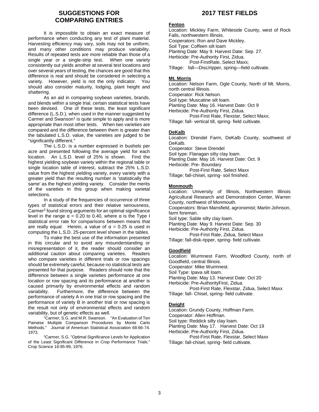# **SUGGESTIONS FOR COMPARING ENTRIES**

It is impossible to obtain an exact measure of performance when conducting any test of plant material. Harvesting efficiency may vary, soils may not be uniform, and many other conditions may produce variability. Results of repeated tests are more reliable than those of a single year or a single-strip test. When one variety consistently out yields another at several test locations and over several years of testing, the chances are good that this difference is real and should be considered in selecting a variety. However, yield is not the only indicator. You should also consider maturity, lodging, plant height and shattering.

As an aid in comparing soybean varieties, brands, and blends within a single trial, certain statistical tests have been devised. One of these tests, the least significant difference (L.S.D.), when used in the manner suggested by Carmer and Swanson<sup>1</sup> is quite simple to apply and is more appropriate than most other tests. When two varieties are compared and the difference between them is greater than the tabulated L.S.D. value, the varieties are judged to be "significantly different."

The L.S.D. is a number expressed in bushels per acre and presented following the average yield for each location. An L.S.D. level of 25% is shown. Find the highest yielding soybean variety within the regional table or single location table of interest, subtract the 25% L.S.D. value from the highest yielding variety, every variety with a greater yield than the resulting number is 'statistically the same' as the highest yielding variety. Consider the merits of the varieties in this group when making varietal selections.

In a study of the frequencies of occurrence of three types of statistical errors and their relative seriousness, Carmer<sup>2</sup> found strong arguments for an optimal significance level in the range  $\alpha$  = 0.20 to 0.40, where  $\alpha$  is the Type I statistical error rate for comparisons between means that are really equal. Herein, a value of  $\alpha = 0.25$  is used in computing the L.S.D. 25-percent level shown in the tables.

To make the best use of the information presented in this circular and to avoid any misunderstanding or misrepresentation of it, the reader should consider an additional caution about comparing varieties. Readers who compare varieties in different trials or row spacings should be extremely careful, because no statistical tests are presented for that purpose. Readers should note that the difference between a single varieties performance at one location or row spacing and its performance at another is caused primarily by environmental effects and random variability. Furthermore, the difference between the performance of variety A in one trial or row spacing and the performance of variety B in another trial or row spacing is the result not only of environmental effects and random variability, but of genetic effects as well.

<sup>1</sup>Carmer, S.G. and M.R. Swanson. "An Evaluation of Ten Pairwise Multiple Comparison Procedures by Monte Carlo Methods." Journal of American Statistical Association 68:66-74. 1973.

<sup>2</sup>Carmer, S.G. "Optimal Significance Levels for Application of the Least Significant Difference in Crop Performance Trials." Crop Science 16:95-99, 1976.

# **2017 TEST FIELDS**

## **Fenton**

Location: Mickley Farm, Whiteside County, west of Rock Falls, northwestern Illinois. Cooperators: Ron and Dave Mickley. Soil Type: Coffeen silt loam Planting Date: May 9. Harvest Date: Sep. 27. Herbicide: Pre-Authority First, Zidua. Post-FirstRate, Select Maxx; Tillage: fall—Disc/ripper, spring—field cultivate.

## **Mt. Morris**

Location: Nelson Farm, Ogle County, North of Mt. Morris, north central Illinois. Cooperator: Rick Nelson. Soil type: Muscatine silt loam. Planting Date: May 16. Harvest Date: Oct 9 Herbicide: Pre-Authority First, Zidua. Post-First Rate, Flexstar, Select Maxx; Tillage: fall- vertical till, spring- field cultivate.

# **DeKalb**

Location: Drendel Farm, DeKalb County, southwest of DeKalb. Cooperator: Steve Drendel Soil type: Flanagan silty clay loam. Planting Date: May 16. Harvest Date: Oct. 9 Herbicide: Pre- Boundary Post-First Rate, Select Maxx Tillage: fall-chisel, spring- soil finished.

## **Monmouth**

Location: University of Illinois, Northwestern Illinois Agricultural Research and Demonstration Center, Warren County, northwest of Monmouth. Cooperators: Brian Mansfield, agronomist; Martin Johnson, farm foreman. Soil type: Sable silty clay loam. Planting Date: May 9. Harvest Date: Sep. 30 Herbicide: Pre-Authority First, Zidua. Post-First Rate, Zidua, Select Maxx Tillage: fall-disk-ripper, spring- field cultivate.

## **Goodfield**

Location: Wurmnest Farm, Woodford County, north of Goodfield, central Illinois. Cooperator: Mike Wurmnest.

Soil Type: Ipava silt loam.

Planting Date: May 13. Harvest Date: Oct 20

Herbicide: Pre-AuthorityFirst, Zidua.

Post-First Rate, Flexstar, Zidua, Select Maxx Tillage: fall- Chisel, spring- field cultivate.

# **Dwight**

Location: Grundy County, Hoffman Farm.

Cooperator: Allen Hoffman.

Soil type: Reddick silty clay loam.

Planting Date: May 17. Harvest Date: Oct 19

Herbicide: Pre-Authority First, Zidua.

Post-First Rate, Flexstar, Select Maxx Tillage: fall-chisel, spring- field cultivate.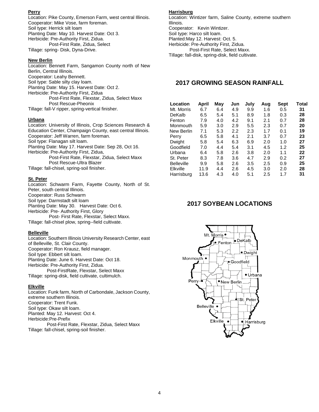## **Perry**

Location: Pike County, Emerson Farm, west central Illinois. Cooperator: Mike Vose, farm foreman. Soil type: Herrick silt loam Planting Date: May 10. Harvest Date: Oct 3. Herbicide: Pre-Authority First, Zidua. Post-First Rate, Zidua, Select Tillage: spring- Disk, Dyna-Drive.

## **New Berlin**

Location: Bennett Farm, Sangamon County north of New Berlin, Central Illinois. Cooperator: Leahy Bennett. Soil type: Sable silty clay loam. Planting Date: May 15. Harvest Date: Oct 2. Herbicide: Pre-Authority First, Zidua Post-First Rate, Flexstar, Zidua, Select Maxx Post Rescue-Pheonix Tillage: fall-V ripper, spring-vertical finisher.

## **Urbana**

Location: University of Illinois, Crop Sciences Research & Education Center, Champaign County, east central Illinois. Cooperator: Jeff Warren, farm foreman. Soil type: Flanagan silt loam. Planting Date: May 17. Harvest Date: Sep 28, Oct 16. Herbicide: Pre-Authority First, Zidua, Post-First Rate, Flexstar, Zidua, Select Maxx Post Rescue-Ultra Blazer Tillage: fall-chisel, spring-soil finisher.

## **St. Peter**

Location: Schwarm Farm, Fayette County, North of St. Peter, south central Illinois. Cooperator: Russ Schwarm Soil type: Darmstadt silt loam Planting Date: May 30. Harvest Date: Oct 6. Herbicide: Pre- Authority First, Glory Post- First Rate, Flexstar, Select Maxx. Tillage: fall-chisel plow, spring--field cultivate.

## **Belleville**

Location: Southern Illinois University Research Center, east of Belleville, St. Clair County. Cooperator: Ron Krausz, field manager. Soil type: Ebbert silt loam. Planting Date: June 6. Harvest Date: Oct 18. Herbicide: Pre-Authority First, Zidua. Post-FirstRate, Flexstar, Select Maxx Tillage: spring-disk, field cultivate, cultimulch.

#### **Elkville**

Location: Funk farm, North of Carbondale, Jackson County, extreme southern Illinois. Cooperator: Trent Funk. Soil type: Okaw silt loam. Planted: May 12. Harvest: Oct 4. Herbicide:Pre-Prefix Post-First Rate, Flexstar, Zidua, Select Maxx Tillage: fall-chisel, spring-soil finisher.

## **Harrisburg**

Location: Wintizer farm, Saline County, extreme southern Illinois. Cooperator: Kevin Wintizer. Soil type: Harco silt loam. Planted:May 12. Harvest: Oct. 5. Herbicide: Pre-Authority First, Zidua. Post-First Rate, Select Maxx. Tillage: fall-disk, spring-disk, field cultivate.

# **2017 GROWING SEASON RAINFALL**

| Location          | April | May | Jun | July | Aug | Sept | Total |
|-------------------|-------|-----|-----|------|-----|------|-------|
| Mt. Morris        | 6.7   | 6.4 | 4.9 | 9.9  | 1.6 | 0.5  | 31    |
| DeKalb            | 6.5   | 5.4 | 5.1 | 8.9  | 1.8 | 0.3  | 28    |
| Fenton            | 7.9   | 4.0 | 4.2 | 9.1  | 2.1 | 0.7  | 28    |
| Monmouth          | 5.9   | 3.0 | 2.9 | 5.5  | 2.3 | 0.7  | 20    |
| New Berlin        | 7.1   | 5.3 | 2.2 | 2.3  | 1.7 | 0.1  | 19    |
| Perry             | 6.5   | 5.8 | 4.1 | 2.1  | 3.7 | 0.7  | 23    |
| Dwight            | 5.8   | 5.4 | 6.3 | 6.9  | 2.0 | 1.0  | 27    |
| Goodfield         | 7.0   | 4.4 | 5.4 | 3.1  | 4.5 | 1.2  | 25    |
| Urbana            | 6.4   | 5.8 | 2.6 | 3.8  | 2.0 | 1.1  | 22    |
| St. Peter         | 8.3   | 7.8 | 3.6 | 4.7  | 2.9 | 0.2  | 27    |
| <b>Belleville</b> | 9.9   | 5.8 | 2.6 | 3.5  | 2.5 | 0.9  | 25    |
| Elkville          | 11.9  | 4.4 | 2.6 | 4.5  | 3.0 | 2.0  | 28    |
| Harrisburg        | 13.6  | 4.3 | 4.0 | 5.1  | 2.5 | 1.7  | 31    |

# **2017 SOYBEAN LOCATIONS**

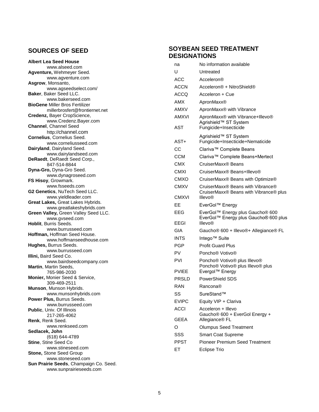# **SOURCES OF SEED**

| <b>Albert Lea Seed House</b><br>www.alseed.com           |
|----------------------------------------------------------|
| Agventure, Wehmeyer Seed.                                |
| www.agventure.com                                        |
| Asgrow, Monsanto,                                        |
| www.agseedselect.com/<br>Baker, Baker Seed LLC.          |
| www.bakerseed.com                                        |
| <b>BioGene Miller Bros Fertilizer</b>                    |
| millerbrosfert@frontiernet.net                           |
| Credenz, Bayer CropScience,                              |
| www.Credenz.Bayer.com                                    |
| <b>Channel, Channel Seed</b>                             |
| http://channel.com                                       |
| Cornelius, Cornelius Seed.                               |
| www.corneliusseed.com<br>Dairyland, Dairyland Seed.      |
| www.dairylandseed.com                                    |
| DeRaedt, DeRaedt Seed Corp.,                             |
| 847-514-8844                                             |
| Dyna-Gro, Dyna-Gro Seed.                                 |
| www.dynagroseed.com                                      |
| FS Hisoy, Growmark.                                      |
| www.fsseeds.com                                          |
| G2 Genetics, NuTech Seed LLC.                            |
| www.yieldleader.com<br>Great Lakes, Great Lakes Hybrids. |
| www.greatlakeshybrids.com                                |
| Green Valley, Green Valley Seed LLC.                     |
| www.gvseed.com                                           |
| Hoblit, Burris Seeds.                                    |
| www.burrusseed.com                                       |
| Hoffman, Hoffman Seed House.                             |
| www.hoffmanseedhouse.com                                 |
| Hughes, Burrus Seeds.<br>www.burrusseed.com              |
| Illini, Baird Seed Co.                                   |
| www.bairdseedcompany.com                                 |
| Martin, Martin Seeds,                                    |
| 765-986-2030                                             |
| Monier, Monier Seed & Service,                           |
| 309-469-2511                                             |
| Munson, Munson Hybrids.                                  |
| www.munsonhybrids.com                                    |
| Power Plus, Burrus Seeds.<br>www.burrusseed.com          |
| Public, Univ. Of Illinois                                |
| 217-265-4062                                             |
| Renk, Renk Seed.                                         |
| www.renkseed.com                                         |
| Sedlacek, John                                           |
| (618) 644-4789                                           |
| Stine, Stine Seed Co                                     |
| www.stineseed.com                                        |
| Stone, Stone Seed Group<br>www.stoneseed.com             |
| Sun Prairie Seeds, Champaign Co. Seed.                   |
| www.sunprairieseeds.com                                  |

# **SOYBEAN SEED TREATMENT DESIGNATIONS**

| na           | No information available                                                                 |
|--------------|------------------------------------------------------------------------------------------|
| U            | Untreated                                                                                |
| ACC          | Acceleron®                                                                               |
| ACCN         | Acceleron® + NitroShield®                                                                |
| ACCO         | Acceleron + Cue                                                                          |
| AMX          | ApronMaxx®                                                                               |
| AMXV         | ApronMaxx <sup>®</sup> with Vibrance                                                     |
| AMXVI        | ApronMaxx® with Vibrance+Illevo®                                                         |
| AST          | Agrishield™ ST System<br>Fungicide+Insecticide                                           |
|              | Agrishield™ ST System                                                                    |
| AST+         | Fungicide+Insecticide+Nematicide                                                         |
| СC           | Clariva™ Complete Beans                                                                  |
| <b>CCM</b>   | Clariva™ Complete Beans+Mertect                                                          |
| CMX          | CruiserMaxx® Beans                                                                       |
| CMXI         | CruiserMaxx® Beans+Illevo®                                                               |
| <b>CMXO</b>  | CruiserMaxx® Beans with Optimize®                                                        |
| <b>CMXV</b>  | CruiserMaxx® Beans with Vibrance®<br>CruiserMaxx® Beans with Vibrance® plus              |
| <b>CMXVI</b> | <b>Illevo®</b>                                                                           |
| EE           | EverGol™ Energy                                                                          |
| EEG          | EverGol™ Energy plus Gaucho® 600<br>EverGol™ Energy plus Gaucho® 600 plus                |
| EEGI         | <b>Illevo®</b>                                                                           |
| GIA          | Gaucho <sup>®</sup> 600 + Illevo <sup>®+</sup> Allegiance <sup>®</sup> FL                |
| INTS         | Intego <sup>™</sup> Suite                                                                |
| <b>PGP</b>   | <b>Profit Guard Plus</b>                                                                 |
| PV           | Poncho <sup>®</sup> Votivo <sup>®</sup>                                                  |
| <b>PVI</b>   | Poncho <sup>®</sup> Votivo <sup>®</sup> plus Illevo <sup>®</sup>                         |
| <b>PVIEE</b> | Poncho <sup>®</sup> Votivo <sup>®</sup> plus Illevo <sup>®</sup> plus<br>Evergol™ Energy |
| <b>PRSLD</b> | PowerShield SDS                                                                          |
| RAN          | Rancona®                                                                                 |
| SS           | SureStand™                                                                               |
| <b>EVIPC</b> | Equity VIP + Clariva                                                                     |
| <b>ACCI</b>  | Acceleron + Illevo                                                                       |
| GEEA         | Gaucho® 600 + EverGol Energy +<br>Allegiance <sup>®</sup> FL                             |
| O            | <b>Olumpus Seed Treatment</b>                                                            |
| SSS          | <b>Smart Coat Supreme</b>                                                                |
| PPST         | <b>Pioneer Premium Seed Treatment</b>                                                    |
| ЕT           | <b>Eclipse Trio</b>                                                                      |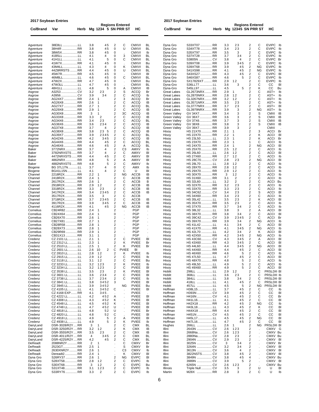**2017 Soybean Entries**

**2017 Soybean Entries**

|                        | ZUTT JUYU CATE ETILI IES         |      |                |                     |                                                    |                        |                              |          |                              | <b>Sugnediction</b>            |      |            |                                              |                                                    |         |                                          |
|------------------------|----------------------------------|------|----------------|---------------------|----------------------------------------------------|------------------------|------------------------------|----------|------------------------------|--------------------------------|------|------------|----------------------------------------------|----------------------------------------------------|---------|------------------------------------------|
| Co/Brand               | Var                              | Herb |                | Mg 1234 5 SN PRR ST |                                                    | <b>Regions Entered</b> | HC                           |          | Co/Brand                     | Var                            | Herb |            | <b>Regions Entered</b><br>Mg 12345 SN PRR ST |                                                    |         | нc                                       |
|                        |                                  |      |                |                     |                                                    |                        |                              |          |                              |                                |      |            |                                              |                                                    |         |                                          |
|                        |                                  |      |                |                     |                                                    |                        |                              |          |                              |                                |      |            |                                              |                                                    |         |                                          |
| Agventure<br>Agventure | 38E8LL LL<br>38H4R RR            |      | 3.8<br>3.8     | 45<br>45            | 2<br>0                                             | С<br>U                 | <b>CMXVI</b><br><b>CMXVI</b> | BL<br>BL | Dyna Gro<br>Dyna Gro         | S33XT07  RR<br>S34XT78  RR     |      | 3.3<br>3.4 | 23<br>23                                     | 2<br>$\overline{\mathbf{c}}$                       | С<br>С  | <b>EVIPC</b><br>Ib<br><b>EVIPC</b><br>Ib |
| Agventure              | 38W5XRR                          |      | 3.8            | 45                  | 0                                                  |                        | <b>CMXVI</b>                 | lb       | Dyna Gro                     | S35XT97  RR                    |      | 3.5        | 3                                            | $\mathbf 2$                                        | С       | <b>EVIPC</b><br>Ib                       |
| Agventure              | 41B5LL LL                        |      | 4.1            | 4                   | 0                                                  | 3                      | <b>CMXVI</b>                 | BL       | Dyna Gro                     | S37XT28  RR                    |      | 3.7        | 34                                           | 2                                                  | С       | <b>EVIPC</b><br>Ib                       |
| Agventure              | 41H1LLLL                         |      | 4.1            | 5                   | 0<br>0                                             | С                      | <b>CMXVI</b>                 | BL<br>Bu | Dyna Gro<br>Dyna Gro         | S3805N  CV<br>S39XT08  RR      |      | 3.8<br>3.9 | 4                                            | $\mathbf 2$<br>$\overline{\mathbf{c}}$             | С<br>С  | <b>EVIPC</b><br>Bı<br><b>EVIPC</b>       |
| Agventure<br>Agventure | 41W7XRR<br>43M4LLLL              |      | 4.1<br>4.3     | 45<br>4             | 0                                                  | Κ                      | <b>CMXVI</b><br><b>CMXVI</b> | BL       | Dyna Gro                     | S39XT68  RR                    |      | 3.9        | 345<br>45                                    | $\overline{\mathbf{c}}$                            | ΝG      | Ib<br><b>EVIPC</b><br>Ib                 |
| Agventure              | 44Z8RRSTS RR                     |      | 4.4            | 45                  | 0                                                  | U                      | <b>CMXVI</b>                 | BL       | Dyna Gro                     | S41XS98  RR                    |      | 4.1        | 45                                           | $\overline{\mathbf{c}}$                            | ΝG      | <b>EVIPC</b><br>Ib                       |
| Agventure              | 45W7RRR                          |      | 4.5            | 45                  | 0                                                  |                        | <b>CMXVI</b>                 | BI       | Dyna Gro                     | S43XS27  RR                    |      | 4.3        | 45                                           | $\overline{\mathbf{c}}$                            | С       | <b>EVIPC</b><br>в                        |
| Agventure<br>Agventure | 46M8LLLL<br>47W2XRR              |      | 4.6<br>4.7     | 45<br>45            | 0<br>0                                             | С                      | <b>CMXVI</b><br><b>CMXVI</b> | BL<br>Bu | Dyna Gro<br>Dyna Gro         | S46XS87  RR<br>SX17829XT  RR   |      | 4.6<br>2.9 | 5<br>12                                      | $\mathbf 2$<br>$\overline{\mathbf{c}}$             | С<br>С  | <b>EVIPC</b><br>Ib<br><b>EVIPC</b><br>Ib |
| Agventure              | 47W3LL LL                        |      | 4.7            | 45                  | 0                                                  |                        | <b>CMXVI</b>                 | BL       | Dyna-Gro                     | S36LL77 LL                     |      | 3.6        | 3                                            | $\mathbf 2$                                        | С       | CС<br>в                                  |
| Agventure              | 48H1LLLL                         |      | 4.8            | 5                   | 0                                                  | Α                      | <b>CMXVI</b>                 | IB       | Dyna-Gro                     | S45LL97LL                      |      | 4.5        | 5                                            | $\overline{\mathbf{c}}$                            | Κ       | CС<br>Βu                                 |
| Asgrow                 | A3253  CV                        |      | 3.2            | 23                  | 2                                                  | S                      | <b>ACCQ</b>                  | Br       | <b>Great Lakes</b>           | GL2673NRX  RR                  |      | 2.9        | 1                                            | $\overline{\mathbf{c}}$                            | С       | AST+<br>Ib                               |
| Asgrow<br>Asgrow       | AG24X7 RR                        |      | 3.9<br>2.4     | 34<br>1             | $\overline{c}$<br>$\overline{\mathbf{c}}$          | C<br>3                 | <b>ACCQ</b><br>ACCQ          | lb<br>Br | Great Lakes<br>Great Lakes   | GL2870NRX  RR<br>GL3267NRX  RR |      | 2.8<br>3.2 | 12<br>12                                     | $\overline{\mathbf{c}}$<br>$\overline{\mathbf{c}}$ | С<br>С  | AST+<br>Ib<br>AST+<br>Ib                 |
| Asgrow                 | AG26X8 RR                        |      | 2.6            | 1                   | $\overline{\mathbf{c}}$                            | С                      | ACCQ                         | IB       | Great Lakes                  | GL3571NRX  RR                  |      | 3.5        | 23                                           | 2                                                  | С       | AST+<br>Ib                               |
| Asgrow                 | AG27X7 RR                        |      | 2.7            | 1                   | $\overline{\mathbf{c}}$                            | С                      | ACCQ                         | BL       | <b>Great Lakes</b>           | GL3777NRXRR                    |      | 3.7        | 23                                           | $\overline{\mathbf{c}}$                            | С       | AST+<br>в                                |
| Asgrow                 | AG29X8 RR                        |      | 2.9            | 1                   | $\overline{\mathbf{c}}$                            | C                      | ACCQ                         | IB       | <b>Great Lakes</b>           | GL3979NRX  RR                  |      | 3.9        | 3                                            | $\overline{\mathbf{c}}$                            | ΝG      | AST+<br>lb                               |
| Asgrow<br>Asgrow       | AG30X8 RR<br>AG33X8 RR           |      | 3<br>3.3       | 2                   | $\overline{\mathbf{c}}$<br>$\overline{\mathbf{c}}$ | ЗC<br>С                | <b>ACCQ</b><br>ACCQ          | IB<br>IB | Green Valley<br>Green Valley | GV 34X7 RR<br>GV 36X7RR        |      | 3.4<br>3.6 | 3<br>3                                       | $\overline{\mathbf{c}}$<br>$\overline{\mathbf{c}}$ | S<br>S  | <b>CMXI</b><br>IB<br><b>CMXI</b><br>IB   |
| Asgrow                 | AG34X6 RR                        |      | 3.4            | 23                  | $\overline{c}$                                     | C                      | ACCQ                         | BL       | Green Valley                 | GV 37X6RR                      |      | 3.7        | 3                                            | $\mathbf 2$                                        | S       | <b>CMXI</b><br>IB                        |
| Asgrow                 | AG36X6 RR                        |      | 3.6            | 234                 | $\overline{c}$                                     | С                      | ACCQ                         | IB       | Green Valley                 | GV 38X8 RR                     |      | 3.8        | 3                                            | $\overline{\mathbf{c}}$                            | S       | IB<br><b>CMXI</b>                        |
| Asgrow                 | AG37X8 RR                        |      | 3.7            | 4                   | $\overline{\mathbf{c}}$                            | С                      | ACCQ                         | IB       | Green Valley                 | GV 39X7 RR                     |      | 3.9        | 3                                            | $\overline{\mathbf{c}}$                            |         | <b>CMXI</b>                              |
| Asgrow<br>Asgrow       | AG38X8 RR<br>AG39X7 RR           |      | 3.8<br>3.9     | 23 5<br>2345        | $\boldsymbol{2}$<br>$\overline{c}$                 | C<br>С                 | <b>ACCQ</b><br>ACCQ          | IB<br>BL | Hisoy<br>Hisoy               | HS 21X70RR<br>HS 22X70 RR      |      | 2.1<br>2.2 | -1<br>$\mathbf 1$                            | $\overline{\mathbf{c}}$<br>$\overline{\mathbf{c}}$ | 3<br>Κ  | <b>ACCI</b><br>Bı<br>ACCI<br>в           |
| Asgrow                 | AG42X6 RR                        |      | 4.2            | 345                 | $\boldsymbol{2}$                                   | С                      | ACCQ                         | IB       | Hisoy                        | HS 23L50 LL                    |      | 2.3        | $\overline{1}$                               | 2                                                  | κ       | <b>ACCI</b><br>Bı                        |
| Asgrow                 | AG44X6 RR                        |      | 4.4            | 45                  | $\boldsymbol{2}$                                   | С                      | ACCQ                         | BL       | Hisoy                        | HS 23X70 RR                    |      | 2.3        | 1                                            | 1                                                  | С       | <b>ACCI</b><br>Ib                        |
| Asgrow                 | AG46X6 RR                        |      | 4.6            | 45                  | $\overline{c}$                                     | Α                      | ACCQ                         | BL       | Hisoy                        | HS 24X70  RR                   |      | 2.4        | $\overline{1}$                               | $\overline{\mathbf{c}}$                            | ΝG      | В<br><b>ACCI</b>                         |
| Baker<br>Baker         | 3772NRX RR<br>3782NRXSTS  RR     |      | 3.7<br>3.7     | 4<br>4              | $\overline{\mathbf{c}}$<br>$\overline{\mathbf{c}}$ | C <sub>3</sub><br>С    | AMXV<br>AMXV                 | lb<br>BI | Hisoy<br>Hisoy               | HS 25X70RR<br>HS 26L60 LL      |      | 2.5<br>2.6 | 12<br>12                                     | $\overline{c}$<br>2                                | С<br>С  | <b>ACCI</b><br>Ib<br>ACCI<br>в           |
| Baker                  | 4472NRXSTS  RR                   |      | 4.4            | 45                  | $\overline{c}$                                     | С                      | AMXV                         | BI       | Hisoy                        | HS 27X60 RR                    |      | 2.7        | 12                                           | $\overline{\mathbf{c}}$                            | С       | <b>ACCI</b><br>Ib                        |
| Baker                  | 4862NRX RR                       |      | 4.8            | 5                   | $\overline{c}$                                     | Α                      | AMXV                         | BI       | Hisoy                        | HS 28C70 CV                    |      | 2.8        | 23                                           | $\overline{c}$                                     | ΝG      | <b>ACCI</b><br>в                         |
| Baker                  | 4882NRXSTS RR                    |      | 4.8            | 5                   | $\overline{c}$                                     | С<br>C                 | AMXV                         | lb       | Hisoy                        | HS 28L70 LL                    |      | 2.8        | 12                                           | 2                                                  | С       | <b>ACCI</b><br>Ib                        |
| Biogene<br>Biogene     | BG 37L17NLL<br>BG41L15NLL        |      | 3.7<br>4.1     | 4<br>4              | 0<br>$\overline{\mathbf{c}}$                       | C                      | AMX<br>U                     | lb<br>BI | Hisoy<br>Hisoy               | HS 28X70RR<br>HS 29X70 RR      |      | 2.8<br>2.9 | 12<br>12                                     | $\overline{\mathbf{c}}$<br>$\overline{c}$          | С<br>С  | <b>ACCI</b><br>Ib<br>ACCI<br>Ib          |
| Channel                | 2218R2XRR                        |      | 2.2            | 1                   | $\overline{\mathbf{c}}$                            | ΝG                     | <b>ACCB</b>                  | IB       | Hisoy                        | HS 30X70  RR                   |      | 3          | 12                                           | 2                                                  | С       | <b>ACCI</b><br>Ib                        |
| Channel                | 2418R2XRR                        |      | 2.4            | 1                   | 2                                                  | С                      | ACCB                         | IB       | Hisoy                        | HS 31X60 RR                    |      | 3.1        | 2                                            | $\overline{\mathbf{c}}$                            | С       | <b>ACCI</b><br>Ib                        |
| Channel                | 2617R2XRR                        |      | 2.6            | 1                   | $\overline{\mathbf{c}}$<br>$\overline{\mathbf{c}}$ | С<br>С                 | <b>ACCB</b>                  | В        | Hisoy                        | HS 32L60 LL                    |      | 3.2        | 2                                            | $\overline{\mathbf{c}}$                            | С       | <b>ACCI</b><br>Bu                        |
| Channel<br>Channel     | 2918R2XRR<br>3318R2XRR           |      | 2.9<br>3.3     | 12<br>23            | $\overline{\mathbf{c}}$                            | С                      | ACCB<br><b>ACCB</b>          | IB<br>IB | Hisoy<br>Hisoy               | HS 32X70 RR<br>HS 33X70 RR     |      | 3.2<br>3.3 | 23<br>23                                     | $\overline{\mathbf{c}}$<br>$\overline{c}$          | С<br>С  | <b>ACCI</b><br>Ib<br><b>ACCI</b><br>Ib   |
| Channel                | 3417R2XRR                        |      | 3.4            | 2345                | $\boldsymbol{2}$                                   | С                      | <b>ACCB</b>                  | IB       | Hisoy                        | HS 34C62 CV                    |      | 3.4        | 23                                           | $\mathbf 2$                                        | S       | В<br><b>ACCI</b>                         |
| Channel                | 3517R2XRR                        |      | 3.5            | 3                   | $\overline{\mathbf{c}}$                            | С                      | ACCB                         |          | Hisoy                        | HS 34X60 RR                    |      | 3.4        | 23                                           | $\overline{\mathbf{c}}$                            | С       | ACCI<br>Ib                               |
| Channel                | 3718R2XRR                        |      | 3.7            | 2345                | $\overline{\mathbf{c}}$<br>$\boldsymbol{2}$        | С<br>C                 | <b>ACCB</b>                  | IB       | Hisoy                        | HS 35L42 LL                    |      | 3.5<br>3.5 | 23                                           | $\overline{\mathbf{c}}$<br>$\overline{\mathbf{c}}$ | Κ<br>С  | <b>ACCI</b><br>В<br>Ib                   |
| Channel<br>Channel     | 3917R2XRR<br>4116R2XRR           |      | 3.9<br>4.1     | 345<br>45           | $\overline{c}$                                     | ΝG                     | ACCB<br><b>ACCB</b>          | IB<br>IB | Hisoy<br>Hisoy               | HS 35X70 RR<br>HS 37X70 RR     |      | 3.7        | 23<br>34                                     | $\overline{\mathbf{c}}$                            | С       | <b>ACCI</b><br>ACCI<br>Ib                |
| Cornelius              | CB24R82 RR                       |      | 2.4            | 1                   | $\overline{\mathbf{c}}$                            |                        | <b>PGP</b>                   |          | Hisoy                        | HS 38L32 LL                    |      | 3.8        | 3                                            | 2                                                  | Α       | <b>ACCI</b><br>В                         |
| Cornelius              | CB24X64 RR                       |      | 2.4            | 1                   | 0                                                  |                        | <b>PGP</b>                   |          | Hisoy                        | HS 38X70 RR                    |      | 3.8        | 34                                           | 2                                                  | С       | <b>ACCI</b><br>в                         |
| Cornelius              | CB26X70 RR                       |      | 2.6            | 1<br>1              | 2<br>$\overline{2}$                                |                        | <b>PGP</b><br><b>PGP</b>     |          | Hisoy                        | HS 39C42 CV                    |      | 3.9<br>3.9 | 2345                                         | $\overline{\mathbf{c}}$<br>$\mathbf 2$             | С       | <b>ACCI</b><br>Bı<br>Ib                  |
| Cornelius<br>Cornelius | CB27X81 RR<br>CB28R58 RR         |      | 2.7<br>2.8     | 1                   | 2                                                  |                        | <b>PGP</b>                   |          | Hisoy<br>Hisoy               | HS 39X70 RR<br>HS 41L42 LL     |      | 4.1        | 34<br>34                                     | $\overline{\mathbf{c}}$                            | ΝG<br>С | <b>ACCI</b><br>ACCI<br>в                 |
| Cornelius              | CB28X73 RR                       |      | 2.8            | 1                   | 2                                                  |                        | <b>PGP</b>                   |          | Hisoy                        | HS 41X70  RR                   |      | 4.1        | 345                                          | $\mathbf 2$                                        | ΝG      | <b>ACCI</b><br>Ib                        |
| Cornelius              | CB29R69 RR                       |      | 2.9            | 1                   | 2                                                  |                        | <b>PGP</b>                   |          | Hisoy                        | HS 42L70 LL                    |      | 4.2        | 34                                           | $\overline{\mathbf{c}}$                            | κ       | ACCI<br>в                                |
| Cornelius<br>Credenz   | CB31X13 RR<br>CZ 2101 LLLL       |      | 3.1<br>2.1     | 1<br>1              | $\overline{\mathbf{c}}$<br>$\overline{c}$          | С                      | <b>PGP</b><br><b>PVIEE</b>   | BI       | Hisoy                        | HS 42X50 RR                    |      | 4.2<br>4.3 | 345<br>345                                   | 2<br>$\overline{\mathbf{c}}$                       | ΝG<br>Α | <b>ACCI</b><br>Ib<br><b>ACCI</b><br>в    |
| Credenz                | CZ 2312 LLLL                     |      | 2.3            | 1                   | $\overline{\mathbf{c}}$                            | Κ                      | <b>PVIEE</b>                 | Br       | Hisoy<br>Hisoy               | HS 43C60 CV<br>HS 43X60  RR    |      | 4.3        | 345                                          | $\overline{\mathbf{c}}$                            | С       | ACCI<br>в                                |
| Credenz                | CZ 2510 LLLL                     |      | 2.5            | 1                   | 2                                                  | κ                      | PVIEE                        | Br       | Hisoy                        | HS 44L60 LL                    |      | 4.4        | 345                                          | $\mathbf 2$                                        | ΝG      | <b>ACCI</b><br>в                         |
| Credenz                | CZ 2601 LLLL                     |      | 2.6            | 2<br>10             | C                                                  | <b>PVIEE</b>           | BI                           |          | Hisoy                        | HS 44X60RR                     |      | 4.4        | 45                                           | $\overline{c}$                                     | С       | ACCI<br>в                                |
| Credenz<br>Credenz     | CZ 2810 LLLL<br>CZ 2915 LLLL     |      | 2.8<br>2.9     | 12<br>12            | $\overline{\mathbf{c}}$                            | κ<br>С                 | PVIEE<br><b>PVIEE</b>        | lb<br>Ib | Hisoy<br>Hisoy               | HS 46X60 RR<br>HS 47L50 LL     |      | 4.6<br>4.7 | 5<br>45                                      | 2<br>$\overline{\mathbf{c}}$                       | С<br>C  | ACCI<br>Ib<br><b>ACCI</b><br>В           |
| Credenz                | CZ 3118 LLLL                     |      | 3.1            | 12                  | $\boldsymbol{2}$                                   | С                      | <b>PVIEE</b>                 | Bu       | Hisoy                        | HS 48X70  RR                   |      | 4.8        | 5                                            |                                                    | С       | <b>ACCI</b><br>Ib                        |
| Credenz                | CZ 3233 LLLL                     |      | 3.2            | 123                 | $\boldsymbol{2}$                                   | Κ                      | <b>PVIEE</b>                 | lb       | Hisoy                        | HS 49L50 LL                    |      | 4.9        | 5                                            | $\frac{2}{2}$                                      | С       | <b>ACCI</b><br>Ib                        |
| Credenz                | CZ 3234 LLLL                     |      | 3.2            | 123                 | $\overline{2}$                                     | С                      | <b>PVIEE</b>                 | BI       | Hisoy                        | HS 49X60  RR                   |      | 4.9        | 5                                            | $\mathbf 2$                                        | С       | B<br>ACCI                                |
| Credenz<br>Credenz     | CZ 3538 LLLL<br>CZ 3601 LLLL     |      | 3.5<br>3.6     | 23<br>234           | 2<br>$\boldsymbol{2}$                              | Κ<br>С                 | PVIEE<br><b>PVIEE</b>        | BI<br>BI | Hoblit<br>Hoblit             | 298LL LL<br>368LL LL           |      | 2.9<br>3.6 | 12<br>23                                     | $\overline{\mathbf{c}}$<br>$\mathbf 2$             | С<br>С  | PRSLD® B<br>PRSLD® lb                    |
| Credenz                | CZ 3738 LLLL                     |      | 3.7            | 234                 | $\overline{2}$                                     | С                      | PVIEE                        | lb       | Hoblit                       | 384LL LL                       |      | 3.8        | 34                                           | $\mathbf 2$                                        | С       | PRSLD® B                                 |
| Credenz                | CZ 3841 LLLL                     |      | 3.8            | 3452                | 3                                                  |                        | PVIEE                        | BI       | Hoblit                       | 418LL LL                       |      | 4.1        | 45                                           | $\overline{\mathbf{c}}$                            | С       | PRSLD® B                                 |
| Credenz                | CZ 3945 LLLL                     |      | 3.9            | 3452                |                                                    | ΝG                     | <b>PVIEE</b>                 | Bu       | Hoblit                       | 457LL LL                       |      | 4.5        | 5                                            | $\mathbf 2$                                        | ΝG      | PRSLD® B                                 |
| Credenz<br>Credenz     | CZ 4105 LLLL<br>CZ 4168 EXPRR    |      | 4.1<br>4.1     | 3452                | C                                                  |                        | <b>PVIEE</b><br><b>PVIEE</b> | BI       | Hoffman<br>Hoffman           | H38L15LL<br>H393N  CV          |      | 3.7<br>3.9 | 45<br>45                                     | $\overline{\mathbf{c}}$<br>$\mathbf 2$             | С<br>C  | CС<br>Ib<br>CС<br>В                      |
| Credenz                | CZ 4222 LLLL                     |      | 4.2            | 345.<br>452         | Α                                                  |                        | <b>PVIEE</b>                 | BI       | Hoffman                      | H416N  CV                      |      | 4.1        | 45                                           | $\mathbf 2$                                        | С       | CС<br>B                                  |
| Credenz                | CZ 4308 LLLL                     |      | 4.3            | 452                 | Κ                                                  |                        | <b>PVIEE</b>                 | BI       | Hoffman                      | H41L16LL                       |      | 4.1        | 45                                           | $\overline{\mathbf{c}}$                            | С       | CC<br>В                                  |
| Credenz                | CZ 4548 LLLL                     |      | 4.5            | 452                 | κ                                                  |                        | <b>PVIEE</b>                 | BI       | Hoffman                      | H42X18  RR                     |      | 4.2        | 45                                           | $\mathbf 2$                                        | ΝG      | CС<br>Ib                                 |
| Credenz<br>Credenz     | CZ 4748 LLLL<br>CZ 4818 LLLL     |      | 4.7<br>4.8     | 452<br>52           | U<br>U                                             |                        | <b>PVIEE</b><br><b>PVIEE</b> | BI<br>Br | Hoffman<br>Hoffman           | H43L18LL<br>H44X18  RR         |      | 4.3<br>4.4 | 45<br>45                                     | $\overline{\mathbf{c}}$<br>$\mathbf 2$             | Κ<br>С  | CC<br>B<br>CС<br>В                       |
| Credenz                | CZ 4820 LLLL                     |      | 4.8            | 52                  | С                                                  |                        | <b>PVIEE</b>                 | BI       | Hoffman                      | H451N  CV                      |      | 4.5        | 45                                           | $\mathbf 2$                                        | С       | CС<br>В                                  |
| Credenz                | CZ 4918 LLLL                     |      | 4.9            | 5                   | $\boldsymbol{2}$                                   | Α                      | PVIEE                        | BI       | Hoffman                      | H45L17LL                       |      | 4.5        | 45                                           | $\overline{\mathbf{c}}$                            | ΝG      | CС<br>В                                  |
| Credenz                | CZ 4938 LLLL                     |      | 4.9            | 5                   | $\sqrt{2}$                                         | Κ                      | <b>PVIEE</b>                 | lb       | Hoffman                      | H47L16LL                       |      | 4.7        | 45                                           | $\mathbf 2$                                        | С       | CС<br>В                                  |
| DairyLand<br>DairyLand | DSR-3028/R2YRR                   |      | 3<br>3.2       | 1<br>12             | $\overline{2}$<br>$\boldsymbol{2}$                 | С<br>Κ                 | <b>CMX</b><br>CMX            | BL       | Hughes<br>Illini             | 266LL LL<br>2643N  CV          |      | 2.6        | 1                                            | $\overline{\mathbf{c}}$<br>$\mathbf 2$             | ΝG      | PRSLD® B<br>G                            |
| DairyLand              | DSR-3250/R2YRR<br>DSR-3555/R2YRR |      | 3.5            | 23                  | $\overline{2}$                                     | С                      | <b>CMX</b>                   | IB<br>IB | Illini                       | 2668Na CV                      |      | 2.6<br>2.6 | 123<br>123                                   | $\overline{\mathbf{c}}$                            | $\cdot$ | CMXV<br>CMXV<br>Bu                       |
| DairyLand              | DSR-4011/R2YRR                   |      | 4              | 345                 | $\boldsymbol{2}$                                   | C                      | <b>CMX</b>                   | BL       | Illini                       | 2880Na CV                      |      | 2.8        | 23                                           | $\mathbf 2$                                        | ×       | CMXV<br>Bu                               |
| DairyLand              | DSR-4225/R2YRR                   |      | 4.2            | 45                  | $\mathbf 2$                                        | C                      | CMX                          | BL       | Illini                       | 2904N  CV                      |      | 2.9        | 23                                           | $\mathbf 2$                                        |         | B<br>CMXV                                |
| DeReadt                | 2088NR2Y RR                      |      | $\overline{2}$ | 1<br>1              |                                                    | С<br>S                 | <b>CMXV</b>                  | Br       | Illini                       | 3025N  CV                      |      | 3          | 34                                           | $\overline{\mathbf{c}}$<br>$\mathbf 2$             |         | <b>CMXV</b><br>Bı                        |
| DeReadt<br>DeReadt     | 2523GTRR<br>2630XNR2YRR          |      | 2.5<br>2.6     | 1                   |                                                    | C <sub>3</sub>         | CMXV<br><b>CMXV</b>          | Br<br>lb | Illini<br>Illini             | 3264N  CV<br>3613N  CV         |      | 3.2<br>3.6 | 34<br>$\overline{4}$                         | $\overline{\mathbf{c}}$                            |         | CMXV<br>B<br>CMXV<br>в                   |
| DeReadt                | Dereadt2RR                       |      | 2.4            | 1                   |                                                    | κ                      | <b>CMXV</b>                  | BI       | Illini                       | 3822NSTS CV                    |      | 3.8        | 45                                           | 2                                                  |         | CMXV<br>В                                |
| Dyna Gro               | S26RY37 RR                       |      | 2.6            | 1                   | $\sqrt{2}$                                         | ΝG                     | <b>EVIPC</b>                 | BI       | Illini                       | 3849N  CV                      |      | 3.8        | 45                                           | 4                                                  |         | CMXV<br>Bu                               |
| Dyna Gro               | S28XT58RR                        |      | 2.8            | 12                  | $\overline{2}$                                     | С                      | <b>EVIPC</b>                 | Ib       | Illini                       | 3989N  CV                      |      | 3.9        | 5                                            | $\overline{\mathbf{c}}$                            |         | <b>CMXV</b><br>B                         |
| Dyna Gro<br>Dyna Gro   | S30XT68RR<br>S31XT48RR           |      | 3<br>3.1       | 12<br>123           | $\mathbf 2$<br>$\overline{2}$                      | C<br>С                 | <b>EVIPC</b><br><b>EVIPC</b> | Bu<br>lb | Illini<br>Illinois           | 6265N  CV<br>Triple Null  CV   |      | 2.6<br>3.5 | 123<br>3                                     | $\mathbf 2$<br>$\overline{\mathbf{c}}$             | U       | CMXV Bu<br>U<br>в                        |
| Dyna Gro               | S33RY76 RR                       |      | 3.3            | 2                   | $\mathbf 2$                                        | C                      | <b>EVIPC</b>                 | lb       | Martin                       | M28X  RR                       |      | 2.8        | 3                                            | $\mathbf 2$                                        | С       | U<br>Ib                                  |
|                        |                                  |      |                |                     |                                                    |                        |                              |          |                              |                                |      |            |                                              |                                                    |         |                                          |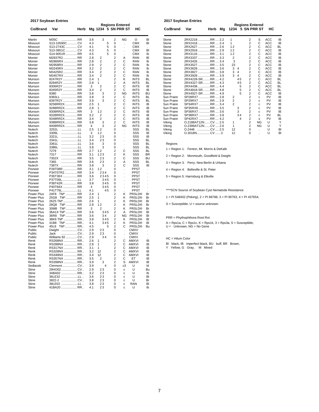|                    | 2017 Soybean Entries     |      |            | <b>Regions Entered</b> |                         |        |                          |           |
|--------------------|--------------------------|------|------------|------------------------|-------------------------|--------|--------------------------|-----------|
| Co/Brand           | Var                      | Herb |            | Mg 1234 5 SN PRR ST    |                         |        | нc                       |           |
| Martin             | M35C<br>RR               |      | 3.6        | 3                      | $\overline{\mathbf{c}}$ | ΝG     | O                        | BI        |
| Missouri           | S13-10590C  CV           |      | 4.3        | 5                      | 0                       |        | <b>CMX</b>               | BI        |
| Missouri           | S13-2743C CV             |      | 4.1        | 5                      | 0                       |        | <b>CMX</b>               |           |
| Missouri           | S13-3851C  CV            |      | 4.3        | 5                      | 0                       |        | <b>CMX</b>               | BI        |
| Missouri           | S14-9051R RR             |      | 4.5        | 5                      | 0                       |        | СМХ                      | lb        |
| Monier             | M2837R2RR                |      | 2.8        | 2                      | 2                       | A      | <b>RAN</b>               | BI        |
| Monier             | M2866RX RR               |      | 2.8        | 2                      | 2                       | С      | <b>RAN</b>               | lb        |
| Monier             | M2958RX RR               |      | 2.9        | 2                      | 2                       | С      | <b>RAN</b>               | lb        |
| Monier             | M3240RX RR<br>M3425R2RR  |      | 3.2        | 2                      | 2                       | С      | <b>RAN</b>               | lb        |
| Monier<br>Monier   | M3457RX RR               |      | 3.4<br>3.4 | $\overline{2}$<br>2    | 2<br>2                  | C<br>С | <b>RAN</b><br><b>RAN</b> | lb<br>lb  |
| Munson             | 8247R2Y RR               |      | 2.4        | 1                      | 2                       | Κ      | INTS                     | ВL        |
| Munson             | 8284R2Y RR               |      | 2.8        | 1                      | 2                       | Α      | <b>INTS</b>              | ΒL        |
| Munson             | 8306R2Y RR               |      | 3          | 2                      | 2                       | С      | <b>INTS</b>              | IB        |
| Munson             | 8345R2Y RR               |      | 3.4        | 2                      | 2                       | С      | INTS                     | IB        |
| Munson             | 8380<br>RR               |      | 3.8        | 3                      | 2                       | NG     | <b>INTS</b>              | BU        |
| Munson             | 8383LL RR                |      | 3.8        | 3                      | 2                       | С      | INTS                     | ΒL        |
| Munson             | 8397R2Y RR               |      | 3.9        | 3                      | 2                       | С      | <b>INTS</b>              | <b>BL</b> |
| Munson             | 9258RR2XRR               |      | 2.5        | 1                      | 2                       | С      | <b>INTS</b>              | IB        |
| Munson             | 9288RR2XRR               |      | 2.8        | 1                      | 2                       | С      | <b>INTS</b>              | IB        |
| Munson             | 9308RR2XRR               |      | 3          | 12                     | 2                       | С      | <b>INTS</b>              | IB        |
| Munson             | 9328RR2XRR               |      | 3.2        | 2                      | 2                       | С      | INTS                     | IB        |
| Munson             | 9348RR2XRR               |      | 3.4        | 2                      | 2                       | С      | <b>INTS</b>              | IB        |
| Munson             | 9388RR2XRR               |      | 3.8        | 3                      | 2                       | С      | <b>INTS</b>              | IB        |
| Munson             | 9408RR2XRR               |      | 4          | 3                      | 2                       | ΝG     | INTS                     | IB        |
| Nutech             | 3252L                    |      | 2.5        | 12                     | 0                       |        | SSS                      | ΒL        |
| Nutech             | 3309L                    |      | 3          | 12                     | 0                       | ï      | SSS                      | IB        |
| Nutech             | LL<br>3321L              |      | 3.2        | 23                     | 0                       |        | SSS                      | IB        |
| Nutech             | 3341L<br>LL              |      | 3.4        | 23                     | 0                       |        | SSS                      | <b>BL</b> |
| Nutech             | 3361L<br>LL              |      | 3.6        | 3                      | 0                       |        | SSS                      | BL        |
| Nutech             | 3386L                    |      | 3.8        | 3                      | 0                       |        | SSS                      | BL        |
| Nutech             | 7279<br>RR               |      | 2.7        | 12                     | 2                       | С      | SSS                      | BL        |
| Nutech             | 7317<br>RR               |      | 3.1        | 123                    | 2                       | κ      | SSS                      | <b>BR</b> |
| Nutech             | RR<br>7352X              |      | 3.5        | 23                     | 2                       | С      | SSS                      | BU        |
| Nutech             | 7365<br>RR               |      | 3.6        | 23                     | 2                       | Α      | SSS                      | BL        |
| Nutech             | 7387X<br>RR              |      | 3.8        | 3                      | 2                       | С      | SSS                      | IB        |
| Pioneer            | P28T08R RR               |      | 3.1        | 12                     | 0                       | ä,     | PPST                     | ä,        |
| Pioneer<br>Pioneer | P34T07R2RR<br>P36T36X RR |      | 3.4        | 234<br>2345            | 0                       |        | PPST<br><b>PPST</b>      |           |
| Pioneer            | P37T09LLL                |      | 3.6<br>3.7 | 345                    | 0<br>0                  |        | PPST                     |           |
| Pioneer            | P38T42R RR               |      | 3.8        | 345                    | 0                       |        | PPST                     |           |
| Pioneer            | P40T84X RR               |      | 4          | 345                    | 0                       |        | PPST                     |           |
| Pioneer            | P41T79LLL                |      | 4.1        | 45                     | 0                       | ï      | PPST                     |           |
| Power Plus         | TM* RR<br>24F8           |      | 2.4        | 1                      | 2                       | Κ      | <b>PRSLD®</b>            | Br        |
| Power Plus         | TM*RR<br>25G8            |      | 2.5        | 1                      | 2                       | Κ      | <b>PRSLD®</b>            | Br        |
| Power Plus         | 26Z5 TM*RR               |      | 2.6        | 1                      | 2                       | Κ      | <b>PRSLD®</b>            | Br        |
| Power Plus         | TM*RR<br>28Q8            |      | 2.8        | 12                     | 2                       | Κ      | <b>PRSLD®</b>            | Br        |
| Power Plus         | TM*RR<br>30M8            |      | 3          | 2                      | 2                       | κ      | <b>PRSLD®</b>            | Br        |
| Power Plus         | 36A1X TM* RR             |      | 3.6        | 345                    | 2                       | A      | <b>PRSLD®</b>            | BI        |
| Power Plus         | <b>TM*</b> RR<br>36R8    |      | 3.6        | 34                     | 2                       | ΝG     | <b>PRSLD®</b>            | BI        |
| Power Plus         | 38K6 TM* RR              |      | 3.8        | 345                    | 2                       | κ      | <b>PRSLD®</b>            | BI        |
| Power Plus         | TM* RR<br>41B8           |      | 4.1        | 345                    | 2                       | Κ      | <b>PRSLD®</b>            | BI        |
| Power Plus         | TM*RR<br>45L8            |      | 4.5        | 5                      | 2                       | С      | <b>PRSLD®</b>            | Bu        |
| Public             | CV<br>Dwight             |      | 2.9        | 23                     | 0                       |        | <b>CMXV</b>              |           |
| Public             | Jack<br>CV               |      | 2.9        | 23                     | 0                       |        | CMXV                     |           |
| Public             | Williams 82 CV           |      | 2.9        | 34                     | 0                       |        | <b>CMXV</b>              |           |
| Renk               | RS268NX RR               |      | 2.6        | 1                      | 2                       | С      | AMXVI                    | IB        |
| Renk               | RS288NX RR               |      | 2.8        | 1                      | 2                       | С      | AMXVI                    | IB        |
| Renk               | RS317NX RR               |      | 3.1        | 1                      | 2                       | С      | AMXVI                    | IB        |
| Renk               | RS328NX RR               |      | 3.2        | 12<br>12               | 2<br>$\overline{c}$     | С      | AMXVI                    | IB        |
| Renk               | RS348NX RR<br>RS357NX RR |      | 3.4        |                        |                         | С      | AMXVI                    | IB        |
| Renk               | RS398NX RR               |      | 3.5<br>3.9 | 2<br>3                 | 2<br>2                  | С<br>S | EТ<br>AMXVI              | IB<br>IB  |
| Renk<br>Sedlacek   | Clermont CV              |      | 3.9        | $\overline{4}$         | 0                       | c3     | U                        | bl        |
| Stine              | 29HO02CV                 |      | 2.9        | 23                     | 0                       | с      | U                        | Bu        |
| Stine              | 34BA02 RR                |      | 3.2        | 23                     | 0                       | с      | U                        | lb        |
| Stine              | 36LE32 LL                |      | 3.6        | 23                     | 0                       | с      | U                        | BI        |
| Stine              | 3822-2 CV                |      | 3.8        | 23                     | 0                       | с      | U                        | Br        |
| Stine              | 38LE02 LL                |      | 3.8        | 23                     | 0                       | с      | <b>RAN</b>               | BI        |
| Stine              | 41BA20 RR                |      | 4.1        | 23                     | 0                       | с      | U                        | lb        |

**2017 Soybean Entries**

|            |                      |         |    |                |                         | <b>Regions Entered</b>  |           |            |           |
|------------|----------------------|---------|----|----------------|-------------------------|-------------------------|-----------|------------|-----------|
| Co/Brand   | Var                  | Herb    | Mg |                |                         | 1234 5 SN PRR ST        |           | НC         |           |
|            |                      |         |    |                |                         |                         |           |            |           |
| Stone      | 2RX2218RR  2.2       |         |    | 1              |                         | $\overline{2}$          | S         | <b>ACC</b> | IB        |
| Stone      | 2RX2418RR  2.4       |         |    | 1              |                         | $\overline{2}$          | С         | <b>ACC</b> | IB        |
| Stone      | 2RX2627 RR  2.6      |         |    | 12             |                         | $\overline{\mathbf{c}}$ | C         | <b>ACC</b> | <b>BL</b> |
| Stone      | 2RX2918RR  2.9       |         |    | 12             |                         | $\overline{c}$          | C         | <b>ACC</b> | <b>IB</b> |
| Stone      | 2RX3116RR  3.1       |         |    | 12             |                         | $\overline{2}$          | C         | <b>ACC</b> | IB        |
| Stone      | 2RX3337 RR  3.3      |         |    | $\overline{2}$ |                         | $\overline{c}$          | С         | <b>ACC</b> | IB        |
| Stone      | 2RX3426RR  3.4       |         |    | 3              |                         | $\overline{c}$          | С         | ACC        | IB        |
| Stone      | 2RX3527 RR  3.5      |         |    | 23             |                         | $\overline{2}$          | C         | <b>ACC</b> | IB        |
| Stone      | 2RX3628RR  3.6       |         |    | 3              | 4                       | $\overline{c}$          | C         | <b>ACC</b> | <b>IB</b> |
| Stone      | 2RX3827 RR  3.8      |         |    | 3              | 4                       | $\overline{c}$          | C         | ACC        | <b>IB</b> |
| Stone      | 2RX3928 RR  3.9      |         |    | 3              | $\overline{\mathbf{A}}$ | $\overline{2}$          | C         | <b>ACC</b> | IB        |
| Stone      | 2RX4228-SR RR  4.2   |         |    |                | 45                      | $\overline{\mathbf{c}}$ | C         | ACC        | <b>BL</b> |
| Stone      | 2RX4327-SRRR  4.3    |         |    |                | 45                      | $\overline{2}$          | C         | <b>ACC</b> | <b>BL</b> |
| Stone      | 2RX4438RR  4.4       |         |    |                | 5                       | $\overline{c}$          | C         | <b>ACC</b> | <b>BL</b> |
| Stone      | 2RX4818-SR  RR  4.8  |         |    |                | 5                       | $\overline{c}$          | C         | ACC        | <b>BL</b> |
| Stone      | 2RX4927-SRRR  4.9    |         |    |                | 5                       | $\overline{2}$          | C         | <b>ACC</b> | IB        |
| Sun Praire | SP28RX7 RR  2.8      |         |    | 2              |                         | $\overline{\mathbf{c}}$ | C         | PV         | IB        |
| Sun Praire | SP29RX7 RR  2.9      |         |    | $\overline{2}$ |                         | $\overline{c}$          | C         | PV         | IB        |
| Sun Praire | SP34RX7 RR  3.4      |         |    | $\overline{a}$ |                         | $\overline{c}$          | C         | PV         | <b>IB</b> |
| Sun Praire | SP35RX6 RR  3.5      |         |    |                | 3                       | $\overline{c}$          | C         | PV         | <b>IB</b> |
| Sun Praire | SP36RX7 RR  3.6      |         |    |                | 3                       | $\overline{2}$          | C         | PV         | <b>IB</b> |
| Sun Praire | SP38RX7 RR  3.8      |         |    |                | 34                      | $\overline{c}$          | C         | PV         | <b>BL</b> |
| Sun Praire | SP42RX7 RR  4.2      |         |    |                | 4                       | $\overline{c}$          | s         | PV         | IB        |
| Viking     | O.2188AT12NCV2.5     |         |    | 1              |                         | $\overline{2}$          | <b>NG</b> | U          | Υ         |
| Viking     | O.2399AT12N  CV  2.6 |         |    | 1              |                         | $\overline{2}$          | <b>NG</b> | U          | Υ         |
| Viking     | 0.2446               | CV  2.5 |    | 12             |                         | $\Omega$                |           | U          | BI        |
| Viking     | 0.3018NCV3           |         |    | 12             |                         | 0                       |           | U          | BI        |

Regions

1 = Region 1: Fenton, Mt. Morris & DeKalb

2 = Region 2: Monmouth, Goodfield & Dwight

3 = Region 3: Perry, New Berlin & Urbana

4 = Region 4: Belleville & St. Peter

5 = Region 5: Harrisburg & Elkville

\*\*\*\*SCN Source of Soybean Cyst Nematode Resistance

1 = PI 548402 (Peking), 2 = PI 88788, 3 = PI 90763, 4 = PI 437654,

S = Susceptible, U = source unknown.

PRR = Phythophthora Root Rot

A = Rps1a, C = Rps1c, K = Rps1k, 3 = Rps3a, S = Susceptible, U = Unknown, NG = No Gene

HC = Hilum Color

Bl black, IB imperfect black, BU buff, BR Brown, Y Yellow, G Gray, M Mixed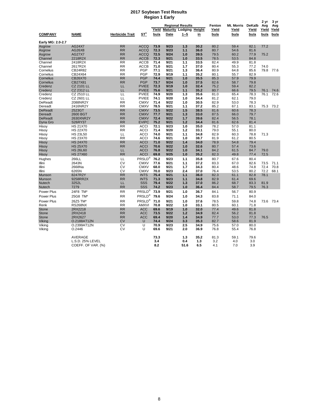#### **2017 Soybean Test Results Region 1 Early**

| Region i Early     |                        |                        |                              |              |              |                         |              |              |               |              |             |       |
|--------------------|------------------------|------------------------|------------------------------|--------------|--------------|-------------------------|--------------|--------------|---------------|--------------|-------------|-------|
|                    |                        |                        |                              |              |              | <b>Regional Results</b> | Fenton       | Mt. Morris   | <b>DeKalb</b> | 2 yr<br>Avg  | 3 yr<br>Avg |       |
|                    |                        |                        |                              | Yield        |              | <b>Maturity Lodging</b> | Height       | Yield        | Yield         | Yield        | Yield       | Yield |
| <b>COMPANY</b>     | <b>NAME</b>            | <b>Herbicide Trait</b> | $ST^1$                       | bu/a         | Date         | $1 - 5$                 | <u>in</u>    | bu/a         | bu/a          | bu/a         | bu/a        | bu/a  |
| Early MG: 2.0-2.7  |                        |                        |                              |              |              |                         |              |              |               |              |             |       |
| Asgrow             | <b>AG24X7</b>          | <b>RR</b>              | <b>ACCQ</b>                  | 73.9         | 9/23         | 1.3                     | 30.2         | 80.2         | 59.4          | 82.1         | 77.2        |       |
| Asgrow             | AG26X8                 | <b>RR</b>              | <b>ACCQ</b>                  | 72.3         | 9/23         | 1.1                     | 36.0         | 80.7         | 54.6          | 81.6         |             |       |
| Asgrow             | <b>AG27X7</b>          | <b>RR</b>              | <b>ACCQ</b>                  | 72.5         | 9/24         | 1.0                     | 39.5         | 79.5         | 60.2          | 77.9         | 75.2        |       |
| Channel            | 2218R2X                | <b>RR</b>              | <b>ACCB</b>                  | 72.3         | 9/21         | 1.0                     | 33.5         | 78.5         | 53.5          | 84.8         |             |       |
| Channel            | 2418R2X                | <b>RR</b>              | <b>ACCB</b>                  | 71.4         | 9/21         | 1.1                     | 33.5         | 82.4         | 49.9          | 81.8         |             |       |
| Channel            | 2617R2X                | <b>RR</b>              | <b>ACCB</b>                  | 71.0         | 9/21         | 1.7                     | 37.0         | 80.4         | 55.3          | 77.2         | 74.0        |       |
| Cornelius          | CB24R82                | <b>RR</b>              | <b>PGP</b>                   | 77.1         | 9/21         | 1.3                     | 36.4         | 80.9         | 64.8          | 85.6         | 79.8        | 77.6  |
| Cornelius          | CB24X64                | <b>RR</b>              | <b>PGP</b>                   | 72.9         | 9/19         | 1.1                     | 35.2         | 80.1         | 55.7          | 82.9         |             |       |
| Cornelius          | CB26X70                | <b>RR</b>              | <b>PGP</b>                   | 74.4         | 9/21         | 1.0                     | 35.5         | 85.3         | 57.9          | 79.9         |             |       |
| Cornelius          | CB27X81                | <b>RR</b>              | <b>PGP</b>                   | 73.7         | 9/24         | 1.0                     | 37.5         | 82.6         | 58.7          | 79.8         |             |       |
| Credenz            | <b>CZ 2101 LL</b>      | LL                     | <b>PVIEE</b>                 | 72.3         | 9/19         | 1.0                     | 32.4         | 75.2         | 59.4          | 82.2         |             |       |
| Credenz            | <b>CZ 2312 LL</b>      | LL                     | <b>PVIEE</b>                 | 75.6         | 9/21         | 1.1                     | 35.2         | 80.7         | 66.6          | 79.5         | 76.1        | 74.6  |
| Credenz            | CZ 2510 LL             | LL                     | <b>PVIEE</b>                 | 74.9         | 9/20         | 1.3                     | 35.6         | 81.0         | 65.4          | 78.3         | 76.1        | 72.6  |
| Credenz<br>DeReadt | CZ 2601 LL<br>2088NR2Y | LL<br><b>RR</b>        | <b>PVIEE</b><br><b>CMXV</b>  | 74.1<br>71.4 | 9/20<br>9/22 | 1.0<br>1.0              | 34.4<br>30.5 | 81.2<br>82.9 | 62.1<br>53.0  | 79.0<br>78.3 |             |       |
| Dereadt            | 2416NR2Y               | <b>RR</b>              | <b>CMXV</b>                  | 78.5         | 9/21         | 1.1                     | 37.2         | 85.2         | 67.1          | 83.1         | 75.3        | 73.2  |
| <b>DeReadt</b>     | 2523GT                 | <b>RR</b>              | <b>CMXV</b>                  | 73.5         | 9/22         | 1.5                     | 38.5         | 81.6         | 60.6          | 78.3         |             |       |
| Dereadt            | 2600 BGT               | <b>RR</b>              | <b>CMXV</b>                  | 77.7         | 9/21         | 1.3                     | 33.0         | 87.5         | 66.0          | 79.7         |             |       |
| <b>DeReadt</b>     | 2630XNR2Y              | <b>RR</b>              | <b>CMXV</b>                  | 72.4         | 9/22         | 1.7                     | 39.6         | 82.4         | 56.5          | 78.1         |             |       |
| Dyna Gro           | S26RY37                | <b>RR</b>              | <b>EVIPC</b>                 | 75.2         | 9/21         | 1.2                     | 34.4         | 81.6         | 62.6          | 81.4         |             |       |
| Hisoy              | <b>HS 21X70</b>        | <b>RR</b>              | <b>ACCI</b>                  | 72.1         | 9/23         | 1.0                     | 35.0         | 78.2         | 57.0          | 81.1         |             |       |
| Hisoy              | <b>HS 22X70</b>        | <b>RR</b>              | <b>ACCI</b>                  | 71.4         | 9/20         | 1.2                     | 33.1         | 79.0         | 55.1          | 80.0         |             |       |
| Hisoy              | <b>HS 23L50</b>        | LL                     | <b>ACCI</b>                  | 74.0         | 9/21         | 1.1                     | 34.8         | 82.9         | 60.3          | 78.8         | 71.3        |       |
| Hisoy              | <b>HS 23X70</b>        | <b>RR</b>              | <b>ACCI</b>                  | 74.6         | 9/21         | 1.0                     | 38.7         | 81.9         | 61.2          | 80.5         |             |       |
| Hisoy              | <b>HS 24X70</b>        | <b>RR</b>              | <b>ACCI</b>                  | 71.0         | 9/22         | 1.4                     | 34.0         | 78.9         | 54.8          | 79.4         |             |       |
| Hisoy              | <b>HS 25X70</b>        | <b>RR</b>              | <b>ACCI</b>                  | 70.6         | 9/22         | 1.0                     | 32.6         | 80.7         | 57.4          | 73.6         |             |       |
| Hisoy              | <b>HS 26L60</b>        | LL                     | <b>ACCI</b>                  | 76.8         | 9/22         | 1.0                     | 34.1         | 84.2         | 61.5          | 84.7         | 79.0        |       |
| Hisoy              | <b>HS 27X60</b>        | <b>RR</b>              | <b>ACCI</b>                  | 69.8         | 9/25         | 1.0                     | 35.2         | 82.3         | 49.8          | 77.4         | 72.5        |       |
| Hughes             | 266LL                  | LL                     | PRSLD®                       | 76.2         | 9/23         | 1.1                     | 35.8         | 80.7         | 67.6          | 80.4         |             |       |
| Illini             | 2643N                  | CV                     | <b>CMXV</b>                  | 77.6         | 9/21         | 1.1                     | 37.2         | 83.3         | 67.0          | 82.6         | 73.5        | 71.1  |
| Illini             | 2668Na                 | CV                     | <b>CMXV</b>                  | 68.0         | 9/21         | 1.7                     | 34.3         | 80.4         | 48.6          | 74.8         | 72.4        | 70.8  |
| Illini             | 6265N                  | CV                     | <b>CMXV</b>                  | 70.0         | 9/23         | 2.4                     | 37.0         | 76.4         | 53.5          | 80.2         | 72.2        | 68.1  |
| Munson             | 8247R2Y                | <b>RR</b>              | <b>INTS</b>                  | 75.4         | 9/21         | 1.1                     | 36.0         | 82.3         | 61.1          | 82.8         | 78.1        |       |
| Munson             | 9258RR2X               | <b>RR</b>              | <b>INTS</b>                  | 71.3         | 9/23         | 1.1                     | 34.8         | 82.9         | 61.4          | 69.6         |             |       |
| <b>Nutech</b>      | 3252L                  | LL                     | SSS                          | 79.4         | 9/22         | 1.3                     | 37.0         | 86.2         | 68.7          | 83.3         | 81.9        |       |
| <b>Nutech</b>      | 7279                   | <b>RR</b>              | SSS                          | 74.2         | 9/23         | 1.0                     | 36.4         | 84.4         | 58.7          | 79.5         | 76.3        |       |
| Power Plus         | 24F8 TM*               | <b>RR</b>              | PRSLD <sup>®</sup>           | 73.9         | 9/21         | 1.0                     | 36.7         | 84.1         | 56.7          | 80.9         |             |       |
| Power Plus         | 25G8 TM*               | <b>RR</b>              | $\mathsf{PRSLD}^{\circledR}$ | 79.6         | 9/24         | 1.0                     | 34.3         | 83.8         | 71.1          | 84.0         |             |       |
| Power Plus         | 26Z5 TM*               | <b>RR</b>              | PRSLD®                       | 71.0         | 9/21         | 1.0                     | 37.6         | 78.5         | 59.8          | 74.8         | 73.6        | 73.4  |
| Renk               | <b>RS268NX</b>         | <b>RR</b>              | <b>AMXVI</b>                 | 70.8         | 9/22         | 1.0                     | 33.1         | 80.5         | 60.1          | 71.8         |             |       |
| <b>Stone</b>       | 2RX2218                | <b>RR</b>              | <b>ACC</b>                   | 69.6         | 9/19         | 1.0                     | 32.0         | 77.4         | 49.6          | 81.8         |             |       |
| <b>Stone</b>       | 2RX2418                | <b>RR</b>              | <b>ACC</b>                   | 73.5         | 9/22         | 1.2                     | 34.9         | 82.4         | 56.2          | 81.8         |             |       |
| <b>Stone</b>       | 2RX2627                | <b>RR</b>              | <b>ACC</b>                   | 69.4         | 9/20         | 1.4                     | 34.9         | 77.7         | 53.0          | 77.3         | 76.5        |       |
| Viking             | O.2188AT12N            | <b>CV</b>              | U                            | 74.4         | 9/24         | 3.3                     | 35.3         | 82.7         | 58.6          | 81.9         |             |       |
| Viking             | O.2399AT12N            | CV                     | U                            | 70.9         | 9/23         | 2.5                     | 34.9         | 75.6         | 57.0          | 80.0         |             |       |
| Viking             | O.2446                 | CV                     | U                            | 69.6         | 9/21         | 2.0                     | 36.9         | 76.8         | 55.4          | 76.8         |             |       |
|                    | AVERAGE                |                        |                              | 73.3         |              | 1.3                     | 35.2         | 81.3         | 59.1          | 79.6         |             |       |
|                    | L.S.D. 25% LEVEL       |                        |                              | 3.4          |              | 0.4                     | 1.3          | 3.2          | 4.0           | 3.0          |             |       |
|                    | COEFF. OF VAR. (%)     |                        |                              | 8.2          |              | 51.6                    | 6.5          | 4.1          | 7.0           | 3.9          |             |       |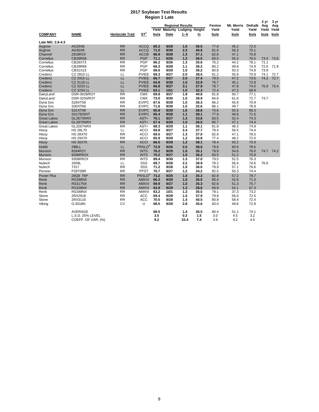#### **2017 Soybean Test Results Region 1 Late**

|                         |                    |                        |                    |      |      |                               |      |        |            |        | 2 yr | 3 yr        |
|-------------------------|--------------------|------------------------|--------------------|------|------|-------------------------------|------|--------|------------|--------|------|-------------|
|                         |                    |                        |                    |      |      | <b>Regional Results</b>       |      | Fenton | Mt. Morris | DeKalb | Avg  | Avg         |
|                         |                    |                        |                    |      |      | Yield Maturity Lodging Height |      | Yield  | Yield      | Yield  |      | Yield Yield |
| <b>COMPANY</b>          | NAME               | <b>Herbicide Trait</b> | ST <sup>1</sup>    | bu/a | Date | $1 - 5$                       | in   | bu/a   | bu/a       | bu/a   | bu/a | bu/a        |
| <b>Late MG: 2.8-4.3</b> |                    |                        |                    |      |      |                               |      |        |            |        |      |             |
| Asgrow                  | AG29X8             | <b>RR</b>              | <b>ACCQ</b>        | 65.2 | 9/28 | 1.0                           | 36.5 | 77.8   | 45.2       | 72.5   |      |             |
| Asgrow                  | AG30X8             | <b>RR</b>              | <b>ACCQ</b>        | 71.0 | 9/30 | 2.3                           | 40.5 | 81.6   | 56.3       | 75.1   |      |             |
| Channel                 | 2918R2X            | <b>RR</b>              | <b>ACCB</b>        | 66.9 | 9/28 | 1.3                           | 37.1 | 82.8   | 47.1       | 70.8   |      |             |
| Cornelius               | <b>CB28R58</b>     | <b>RR</b>              | <b>PGP</b>         | 71.1 | 9/26 | 1.2                           | 36.5 | 80.5   | 56.3       | 76.5   | 73.4 | 73.6        |
| Cornelius               | CB28X73            | <b>RR</b>              | PGP                | 66.2 | 9/26 | 1.3                           | 35.6 | 76.2   | 44.2       | 78.1   | 71.1 |             |
| Cornelius               | CB29R69            | <b>RR</b>              | <b>PGP</b>         | 68.3 | 9/28 | 1.1                           | 36.2 | 80.2   | 49.8       | 74.9   | 72.6 | 71.9        |
| Cornelius               | CB31X13            | <b>RR</b>              | PGP                | 68.6 | 9/29 | 1.0                           | 36.2 | 80.6   | 50.3       | 74.8   | 73.9 |             |
| Credenz                 | CZ 2810 LL         | LL                     | <b>PVIEE</b>       | 69.3 | 9/27 | 2.0                           | 38.5 | 81.2   | 55.9       | 70.9   | 74.1 | 72.7        |
| Credenz                 | CZ 2915 LL         | LL                     | <b>PVIEE</b>       | 66.7 | 9/27 | 2.0                           | 37.4 | 79.5   | 47.2       | 73.5   | 74.2 | 72.7        |
| Credenz                 | CZ 3118 LL         | LL                     | <b>PVIEE</b>       | 64.8 | 9/30 | 1.0                           | 32.9 | 76.7   | 45.1       | 72.8   |      |             |
| Credenz                 | CZ 3233 LL         | LL                     | <b>PVIEE</b>       | 66.8 | 9/27 | 3.1                           | 37.9 | 78.7   | 47.8       | 74.0   | 75.9 | 73.4        |
| Credenz                 | <b>CZ 3234 LL</b>  | LL                     | <b>PVIEE</b>       | 63.1 | 10/1 | 1.0                           | 32.3 | 72.4   | 47.2       | 69.9   |      |             |
| DairyLand               | DSR-3028/R2Y       | RR                     | <b>CMX</b>         | 69.8 | 9/27 | 1.9                           | 40.8 | 81.8   | 50.7       | 77.1   |      |             |
| DairyLand               | DSR-3250/R2Y       | <b>RR</b>              | <b>CMX</b>         | 73.0 | 9/30 | 1.5                           | 38.9 | 84.6   | 61.6       | 72.7   | 73.7 |             |
| Dyna Gro                | S28XT58            | RR                     | <b>EVIPC</b>       | 67.6 | 9/28 | 1.0                           | 36.3 | 86.2   | 45.9       | 70.9   |      |             |
| Dyna Gro                | S30XT68            | RR                     | <b>EVIPC</b>       | 71.6 | 9/28 | 1.5                           | 32.6 | 86.1   | 49.7       | 78.9   |      |             |
| Dyna Gro                | S31XT48            | RR                     | <b>EVIPC</b>       | 65.8 | 9/29 | 1.6                           | 38.6 | 75.6   | 55.5       | 66.3   |      |             |
| Dyna Gro                | <b>SX17829XT</b>   | <b>RR</b>              | <b>EVIPC</b>       | 65.4 | 9/28 | 1.1                           | 38.1 | 77.9   | 46.8       | 71.5   |      |             |
| Great Lakes             | GL2673NRX          | <b>RR</b>              | AST+               | 70.1 | 9/27 | 1.3                           | 33.6 | 83.5   | 52.4       | 74.3   |      |             |
| Great Lakes             | GL2870NRX          | <b>RR</b>              | AST+               | 67.4 | 9/28 | 1.0                           | 36.5 | 80.7   | 47.1       | 74.4   |      |             |
| Great Lakes             | <b>GL3267NRX</b>   | <b>RR</b>              | AST+               | 68.3 | 9/29 | 1.1                           | 36.1 | 81.8   | 48.3       | 74.9   |      |             |
| Hisov                   | <b>HS 28L70</b>    | LL                     | <b>ACCI</b>        | 69.8 | 9/27 | 2.4                           | 37.7 | 78.4   | 56.5       | 74.4   |      |             |
| Hisov                   | <b>HS 28X70</b>    | <b>RR</b>              | <b>ACCI</b>        | 69.5 | 9/27 | 1.3                           | 37.0 | 82.9   | 47.1       | 78.5   |      |             |
| Hisoy                   | <b>HS 29X70</b>    | <b>RR</b>              | <b>ACCI</b>        | 65.9 | 9/29 | 1.2                           | 35.8 | 77.4   | 48.2       | 72.0   |      |             |
| Hisoy                   | <b>HS 30X70</b>    | <b>RR</b>              | <b>ACCI</b>        | 66.5 | 9/28 | $1.2$                         | 38.1 | 78.4   | 50.2       | 70.9   |      |             |
| <b>Hoblit</b>           | 298LL              | LL                     | PRSLD®             | 72.9 | 9/26 | 2.5                           | 38.0 | 79.6   | 60.6       | 78.5   |      |             |
| Munson                  | 8284R2Y            | <b>RR</b>              | <b>INTS</b>        | 70.2 | 9/29 | 1.0                           | 35.1 | 79.9   | 54.6       | 76.0   |      | 74.7 74.2   |
| Munson                  | 9288RR2X           | RR                     | <b>INTS</b>        | 70.2 | 9/27 | 1.0                           | 36.2 | 83.5   | 51.2       | 75.8   |      |             |
| Munson                  | 9308RR2X           | <b>RR</b>              | <b>INTS</b>        | 69.4 | 9/30 | 1.3                           | 37.0 | 79.5   | 52.5       | 76.3   |      |             |
| Nutech                  | 3309L              | LL                     | SSS                | 69.7 | 9/28 | 2.2                           | 38.9 | 78.2   | 56.4       | 74.6   | 76.0 |             |
| Nutech                  | 7317               | RR                     | SSS                | 71.2 | 9/28 | 1.0                           | 36.0 | 79.9   | 57.1       | 76.6   |      |             |
| Pioneer                 | P28T08R            | RR                     | PPST               | 70.7 | 9/27 | $1.2$                         | 34.2 | 82.5   | 55.3       | 74.4   |      |             |
| <b>Power Plus</b>       | 28Q8 TM*           | <b>RR</b>              | PRSLD <sup>®</sup> | 73.2 | 9/25 | 1.0                           | 35.3 | 82.8   | 57.2       | 79.7   |      |             |
| Renk                    | <b>RS288NX</b>     | <b>RR</b>              | <b>AMXVI</b>       | 66.3 | 9/28 | 1.0                           | 36.5 | 85.4   | 42.6       | 71.0   |      |             |
| Renk                    | <b>RS317NX</b>     | <b>RR</b>              | <b>AMXVI</b>       | 69.9 | 9/27 | 1.0                           | 35.3 | 82.8   | 51.3       | 75.7   |      |             |
| Renk                    | <b>RS328NX</b>     | <b>RR</b>              | <b>AMXVI</b>       | 63.8 | 9/29 | 1.3                           | 38.6 | 69.9   | 54.1       | 67.3   |      |             |
| Renk                    | <b>RS348NX</b>     | <b>RR</b>              | <b>AMXVI</b>       | 63.2 | 10/1 | 1.3                           | 35.5 | 79.1   | 37.3       | 73.2   |      |             |
| Stone                   | 2RX2918            | <b>RR</b>              | <b>ACC</b>         | 69.4 | 9/28 | 1.5                           | 37.9 | 79.8   | 56.0       | 72.5   |      |             |
| Stone                   | 2RX3116            | <b>RR</b>              | <b>ACC</b>         | 70.5 | 9/28 | 1.4                           | 40.5 | 80.8   | 58.4       | 72.4   |      |             |
| Viking                  | O.3018N            | CV                     | U                  | 68.5 | 9/28 | 2.8                           | 35.6 | 83.0   | 49.6       | 72.8   |      |             |
|                         | AVERAGE            |                        |                    | 68.5 |      | 1.4                           | 36.5 | 80.4   | 51.1       | 74.1   |      |             |
|                         | L.S.D. 25% LEVEL   |                        |                    | 3.5  |      | 0.3                           | 1.5  | 3.0    | 4.5        | 3.2    |      |             |
|                         | COEFF. OF VAR. (%) |                        |                    | 9.2  |      | 33.4                          | 7.4  | 3.9    | 9.2        | 4.5    |      |             |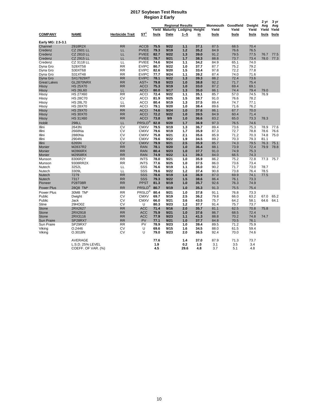#### **2017 Soybean Test Results Region 2 Early**

|                                 |                                    |                        |                            |              |              |                                                           |              |                             |              |                 | 2 yr         | 3 yr         |
|---------------------------------|------------------------------------|------------------------|----------------------------|--------------|--------------|-----------------------------------------------------------|--------------|-----------------------------|--------------|-----------------|--------------|--------------|
|                                 |                                    |                        |                            | Yield        |              | <b>Regional Results</b><br><b>Maturity Lodging Height</b> |              | Monmouth Goodfield<br>Yield | Yield        | Dwight<br>Yield | Avg<br>Yield | Avg<br>Yield |
| <b>COMPANY</b>                  | <b>NAME</b>                        | <b>Herbicide Trait</b> | ST <sup>1</sup>            | bu/a         | Date         | $1 - 5$                                                   | in           | bu/a                        | bu/a         | bu/a            | bu/a         | bu/a         |
| Early MG: 2.5-3.1               |                                    |                        |                            |              |              |                                                           |              |                             |              |                 |              |              |
| Channel                         | 2918R2X                            | <b>RR</b>              | <b>ACCB</b>                | 75.5         | 9/22         | 1.1                                                       | 37.1         | 87.5                        | 68.5         | 70.4            |              |              |
| Credenz                         | CZ 2601 LL                         | LL.                    | <b>PVIEE</b>               | 79.3         | 9/19         | 1.2                                                       | 35.2         | 84.9                        | 76.6         | 76.5            |              |              |
| Credenz                         | <b>CZ 2810 LL</b>                  | LL                     | <b>PVIEE</b>               | 82.7         | 9/22         | 1.3                                                       | 39.0         | 91.2                        | 79.5         | 77.5            | 76.7         | 77.5         |
| Credenz                         | <b>CZ 2915 LL</b>                  | LL                     | <b>PVIEE</b>               | 78.7         | 9/21         | 1.7                                                       | 38.3         | 88.8                        | 73.7         | 73.4            |              | 78.0 77.3    |
| Credenz                         | CZ 3118 LL                         | LL                     | <b>PVIEE</b>               | 74.6         | 9/24         | 1.1                                                       | 34.2         | 84.9                        | 65.1         | 74.0            |              |              |
| Dyna Gro                        | S28XT58                            | <b>RR</b>              | <b>EVIPC</b>               | 80.7         | 9/22         | 1.0                                                       | 37.7         | 87.7                        | 75.2         | 79.2            |              |              |
| Dyna Gro                        | S30XT68                            | <b>RR</b>              | <b>EVIPC</b>               | 82.6         | 9/20         | 1.5                                                       | 33.4         | 97.8                        | 72.2         | 77.8            |              |              |
| Dyna Gro                        | S31XT48                            | <b>RR</b>              | <b>EVIPC</b>               | 77.7         | 9/24         | 1.1                                                       | 39.2         | 87.4                        | 74.0         | 71.6            |              |              |
| Dyna Gro                        | <b>SX17829XT</b>                   | <b>RR</b>              | <b>EVIPC</b>               | 78.1         | 9/22         | 1.3                                                       | 39.3         | 88.2                        | 72.4         | 73.6            |              |              |
| <b>Great Lakes</b>              | GL2870NRX                          | <b>RR</b>              | AST+                       | 79.8         | 9/23         | 1.0                                                       | 38.8         | 92.2                        | 71.7         | 75.4            |              |              |
| Hisoy                           | <b>HS 25X70</b>                    | <b>RR</b>              | <b>ACCI</b>                | 75.3         | 9/19         | 1.0                                                       | 33.0         | 87.2                        | 69.4         | 69.1            |              |              |
| Hisoy                           | <b>HS 26L60</b><br><b>HS 27X60</b> | LL<br><b>RR</b>        | <b>ACCI</b><br><b>ACCI</b> | 80.0<br>72.4 | 9/17<br>9/22 | 1.3<br>1.1                                                | 35.0<br>35.1 | 86.1<br>85.7                | 74.4<br>57.0 | 79.4<br>74.5    | 79.0<br>76.9 |              |
| Hisoy<br>Hisoy                  | <b>HS 28C70</b>                    | <b>CV</b>              | <b>ACCI</b>                | 81.9         | 9/25         | 1.5                                                       | 38.7         | 91.0                        | 76.6         | 78.2            |              |              |
| Hisoy                           | <b>HS 28L70</b>                    | LL                     | <b>ACCI</b>                | 80.4         | 9/19         | 1.3                                                       | 37.5         | 89.4                        | 74.7         | 77.1            |              |              |
| Hisoy                           | <b>HS 28X70</b>                    | <b>RR</b>              | <b>ACCI</b>                | 79.1         | 9/20         | 1.0                                                       | 38.4         | 89.6                        | 71.6         | 76.2            |              |              |
| Hisoy                           | <b>HS 29X70</b>                    | <b>RR</b>              | <b>ACCI</b>                | 74.6         | 9/24         | 1.0                                                       | 37.6         | 86.1                        | 67.7         | 70.0            |              |              |
| Hisoy                           | <b>HS 30X70</b>                    | <b>RR</b>              | <b>ACCI</b>                | 72.2         | 9/22         | 1.0                                                       | 39.5         | 84.9                        | 60.4         | 71.4            |              |              |
| Hisoy                           | <b>HS 31X60</b>                    | <b>RR</b>              | <b>ACCI</b>                | 73.8         | 9/9          | 1.0                                                       | 36.6         | 83.2                        | 65.0         | 73.3            | 78.3         |              |
| Hoblit                          | 298LL                              | LL                     | PRSLD <sup>®</sup>         | 82.8         | 9/20         | 1.7                                                       | 36.9         | 97.3                        | 76.5         | 74.6            |              |              |
| Illini                          | 2643N                              | <b>CV</b>              | <b>CMXV</b>                | 79.5         | 9/19         | 1.3                                                       | 36.7         | 89.4                        | 73.6         | 75.3            | 78.9         | 77.6         |
| Illini                          | 2668Na                             | CV                     | <b>CMXV</b>                | 79.6         | 9/19         | 1.7                                                       | 35.9         | 87.3                        | 72.7         | 78.8            | 78.6         | 76.6         |
| Illini                          | 2880Na                             | <b>CV</b>              | <b>CMXV</b>                | 75.8         | 9/21         | 2.1                                                       | 35.6         | 85.9                        | 71.2         | 70.3            | 74.8         | 75.0         |
| Illini                          | 2904N                              | <b>CV</b>              | <b>CMXV</b>                | 79.6         | 9/22         | 1.9                                                       | 34.5         | 89.2                        | 70.3         | 79.3            | 81.1         |              |
| Illini                          | 6265N                              | <b>CV</b>              | <b>CMXV</b>                | 79.9         | 9/21         | 2.5                                                       | 35.9         | 85.7                        | 74.3         | 79.5            | 76.3         | 75.1         |
| Monier                          | M2837R2                            | <b>RR</b>              | <b>RAN</b>                 | 78.1         | 9/20         | 1.0                                                       | 36.4         | 88.1                        | 73.9         | 72.4            | 79.9         | 78.8         |
| Monier                          | M2866RX                            | <b>RR</b>              | <b>RAN</b>                 | 80.4         | 9/23         | 1.0                                                       | 37.7         | 91.0                        | 74.9         | 75.3            |              |              |
| Monier                          | M2958RX                            | <b>RR</b>              | <b>RAN</b>                 | 74.9         | 9/22         | 1.1                                                       | 39.3         | 84.0                        | 66.5         | 74.3            |              |              |
| Munson                          | 8306R2Y                            | <b>RR</b><br><b>RR</b> | <b>INTS</b><br><b>INTS</b> | 78.0<br>77.6 | 9/21<br>9/25 | 1.0<br>1.0                                                | 35.9<br>37.5 | 86.2<br>86.0                | 75.2<br>73.6 | 72.8<br>73.4    | 77.3         | 75.7         |
| Munson<br>Nutech                | 9308RR2X<br>3252L                  | LL                     | SSS                        | 76.6         | 9/19         | 1.1                                                       | 36.0         | 90.2                        | 71.7         | 73.0            | 78.7         |              |
| Nutech                          | 3309L                              | LL                     | SSS                        | 79.6         | 9/22         | 1.2                                                       | 37.4         | 90.8                        | 73.8         | 76.4            | 78.5         |              |
| <b>Nutech</b>                   | 7279                               | <b>RR</b>              | SSS                        | 78.6         | 9/19         | 1.6                                                       | 36.9         | 87.0                        | 69.9         | 74.1            | 77.5         |              |
| <b>Nutech</b>                   | 7317                               | <b>RR</b>              | <b>SSS</b>                 | 79.3         | 9/22         | 1.5                                                       | 38.6         | 86.4                        | 76.1         | 73.3            |              |              |
| Pioneer                         | <b>P28T08R</b>                     | <b>RR</b>              | <b>PPST</b>                | 81.3         | 9/19         | 1.0                                                       | 35.7         | 92.6                        | 76.3         | 74.9            |              |              |
| <b>Power Plus</b>               | 28Q8 TM*                           | <b>RR</b>              | PRSLD®                     | 80.7         | 9/19         | 1.0                                                       | 35.3         | 91.3                        | 75.5         | 75.4            |              |              |
| Power Plus                      | 30M8 TM*                           | <b>RR</b>              | PRSLD <sup>®</sup>         | 80.4         | 9/21         | 1.0                                                       | 37.8         | 91.1                        | 76.8         | 73.3            |              |              |
| Public                          | Dwight                             | <b>CV</b>              | <b>CMXV</b>                | 69.7         | 9/19         | 2.5                                                       | 36.2         | 79.8                        | 66.0         | 63.2            | 67.0         | 65.2         |
| Public                          | Jack                               | CV                     | <b>CMXV</b>                | 66.0         | 9/21         | 3.6                                                       | 43.5         | 75.7                        | 64.2         | 58.1            | 64.6         | 64.1         |
| <b>Stine</b>                    | 29HO02                             | CV                     | U                          | 80.3         | 9/23         | 1.2                                                       | 37.7         | 91.4                        | 75.7         | 73.7            |              |              |
| <b>Stone</b>                    | 2RX2627                            | <b>RR</b>              | <b>ACC</b>                 | 71.4         | 9/16         | 2.0                                                       | 35.7         | 81.1                        | 62.5         | 70.8            | 75.8         |              |
| <b>Stone</b>                    | 2RX2918                            | <b>RR</b>              | <b>ACC</b>                 | 75.9         | 9/21         | 1.0                                                       | 37.6         | 86.7                        | 68.5         | 72.4            |              |              |
| <b>Stone</b>                    | 2RX3116                            | <b>RR</b>              | <b>ACC</b>                 | 77.9         | 9/23         | 1.1                                                       | 41.3         | 88.8                        | 70.2         | 74.8            | 74.7         |              |
| <b>Sun Praire</b><br>Sun Praire | SP28RX7<br>SP29RX7                 | <b>RR</b><br><b>RR</b> | <b>PV</b><br>PV            | 77.1<br>78.9 | 9/21<br>9/23 | 1.0<br>1.0                                                | 37.7<br>39.4 | 84.8                        | 70.5<br>71.2 | 76.1<br>75.9    |              |              |
| Viking                          | O.2446                             | CV                     | U                          | 69.6         | 9/15         | 1.6                                                       | 34.5         | 89.5<br>88.0                | 61.5         | 59.4            |              |              |
| Viking                          | O.3018N                            | <b>CV</b>              | U                          | 79.0         | 9/23         | 2.0                                                       | 36.5         | 92.4                        | 70.0         | 74.6            |              |              |
|                                 |                                    |                        |                            |              |              |                                                           |              |                             |              |                 |              |              |
|                                 | <b>AVERAGE</b>                     |                        |                            | 77.6         |              | 1.4                                                       | 37.0         | 87.9                        | 71.3         | 73.7            |              |              |
|                                 | L.S.D. 25% LEVEL                   |                        |                            | 1.9          |              | 0.2                                                       | 1.0          | 3.1                         | 3.5          | 3.4             |              |              |
|                                 | COEFF. OF VAR. (%)                 |                        |                            | 4.5          |              | 29.6                                                      | 4.8          | 3.7                         | 5.1          | 4.8             |              |              |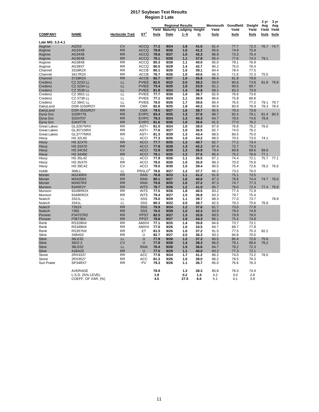#### **2017 Soybean Test Results Region 2 Late**

|                                |                    |                        |                              |               |                                        |                         |              |               |               |               | 2 yr          | 3 yr          |
|--------------------------------|--------------------|------------------------|------------------------------|---------------|----------------------------------------|-------------------------|--------------|---------------|---------------|---------------|---------------|---------------|
|                                |                    |                        |                              |               |                                        | <b>Regional Results</b> |              | Monmouth      | Goodfield     | Dwight        | Avg           | Avg           |
| <b>COMPANY</b>                 | <b>NAME</b>        | <b>Herbicide Trait</b> | $ST^1$                       | Yield<br>bu/a | <b>Maturity Lodging Height</b><br>Date | $1 - 5$                 | in           | Yield<br>bu/a | Yield<br>bu/a | Yield<br>bu/a | Yield<br>bu/a | Yield<br>bu/a |
| Late MG: 3.2-4.1               |                    |                        |                              |               |                                        |                         |              |               |               |               |               |               |
| Asgrow                         | A3253              | <b>CV</b>              | <b>ACCQ</b>                  | 77.2          | 9/24                                   | 1.6                     | 41.0         | 81.4          | 77.7          | 72.3          | 76.7          | 74.7          |
| Asgrow                         | AG33X8             | <b>RR</b>              | <b>ACCQ</b>                  | 78.8          | 9/26                                   | 1.0                     | 41.2         | 85.6          | 74.9          | 75.9          |               |               |
| Asgrow                         | AG34X6             | <b>RR</b>              | <b>ACCQ</b>                  | 78.6          | 9/27                                   | 1.0                     | 42.3         | 86.9          | 73.3          | 75.4          |               |               |
| Asgrow                         | AG36X6             | <b>RR</b>              | <b>ACCQ</b>                  | 79.1          | 9/28                                   | 1.1                     | 37.8         | 85.4          | 77.6          | 74.3          | 79.1          |               |
| Asgrow                         | AG38X8             | <b>RR</b>              | <b>ACCQ</b>                  | 80.3          | 9/28                                   | 1.1                     | 40.0         | 85.0          | 79.1          | 76.9          |               |               |
| Asgrow                         | AG39X7             | <b>RR</b>              | <b>ACCQ</b>                  | 80.5          | 9/29                                   | 1.4                     | 42.7         | 90.2          | 75.0          | 76.4          |               |               |
| Channel                        | 3318R2X            | <b>RR</b>              | <b>ACCB</b>                  | 80.1          | 9/26                                   | 1.0                     | 39.1         | 84.4          | 78.4          | 77.5          |               |               |
| Channel                        | 3417R2X            | <b>RR</b>              | <b>ACCB</b>                  | 76.7          | 9/26                                   | 1.0                     | 40.6         | 86.3          | 71.6          | 72.3          | 75.5          |               |
| Channel                        | 3718R2X            | <b>RR</b>              | <b>ACCB</b>                  | 82.7          | 9/27                                   | 1.0                     | 36.8         | 86.4          | 81.8          | 79.8          |               |               |
| Credenz                        | CZ 3233 LL         | LL                     | <b>PVIEE</b>                 | 82.5          | 9/22                                   | 2.0                     | 38.2         | 93.0          | 80.6          | 73.8          | 81.8          | 79.9          |
| Credenz                        | CZ 3234 LL         | LL                     | <b>PVIEE</b>                 | 73.4          | 9/25                                   | 1.0                     | 33.9         | 81.1          | 69.5          | 69.7          |               |               |
| Credenz                        | CZ 3538 LL         | LL                     | <b>PVIEE</b>                 | 81.8          | 9/24                                   | 1.4                     | 36.8         | 88.2          | 83.3          | 73.9          |               |               |
| Credenz                        | CZ 3601 LL         | LL                     | <b>PVIEE</b>                 | 77.7          | 9/26                                   | 1.0                     | 36.7         | 82.9          | 76.6          | 73.6          |               |               |
| Credenz                        | CZ 3738 LL         | LL                     | <b>PVIEE</b>                 | 77.1          | 9/24                                   | 1.1                     | 38.9         | 86.6          | 75.8          | 68.8          |               |               |
| Credenz                        | CZ 3841 LL         | LL                     | <b>PVIEE</b>                 | 78.0          | 9/26                                   | 1.7                     | 39.6         | 80.4          | 76.5          | 77.2          | 79.1          | 79.7          |
| DairyLand                      | DSR-3250/R2Y       | <b>RR</b>              | <b>CMX</b>                   | 82.8          | 9/25                                   | 1.9                     | 40.2         | 90.6          | 80.9          | 76.9          | 78.3          | 78.4          |
| DairyLand                      | DSR-3555/R2Y       | <b>RR</b>              | <b>CMX</b>                   | 79.5          | 9/27                                   | 1.6                     | 38.7         | 85.5          | 79.3          | 73.8          |               |               |
| Dyna Gro                       | S33RY76            | <b>RR</b>              | <b>EVIPC</b><br><b>EVIPC</b> | 83.4<br>79.3  | 9/25<br>9/24                           | 1.3<br>1.3              | 37.6<br>40.3 | 88.7<br>84.7  | 82.4          | 79.1          | 81.4          | 80.3          |
| Dyna Gro                       | S33XT07<br>S34XT78 | <b>RR</b><br><b>RR</b> | <b>EVIPC</b>                 | 81.6          | 9/26                                   | 1.0                     | 36.6         | 91.5          | 78.5<br>77.0  | 74.6<br>76.2  | 78.8          |               |
| Dyna Gro<br><b>Great Lakes</b> | GL3267NRX          | <b>RR</b>              | AST+                         | 81.0          | 9/24                                   | 1.0                     | 38.0         | 87.9          | 76.8          | 78.2          | 76.0          |               |
| <b>Great Lakes</b>             | GL3571NRX          | <b>RR</b>              | AST+                         | 77.6          | 9/27                                   | 1.0                     | 36.5         | 82.7          | 74.0          | 76.2          |               |               |
| <b>Great Lakes</b>             | GL3777NRX          | <b>RR</b>              | AST+                         | 81.3          | 9/29                                   | 1.3                     | 43.4         | 88.5          | 80.5          | 75.0          |               |               |
| Hisoy                          | <b>HS 32L60</b>    | LL                     | <b>ACCI</b>                  | 77.3          | 9/26                                   | 1.0                     | 34.2         | 88.5          | 70.5          | 73.0          | 74.1          |               |
| Hisoy                          | <b>HS 32X70</b>    | <b>RR</b>              | <b>ACCI</b>                  | 77.7          | 9/25                                   | 1.3                     | 40.7         | 82.7          | 77.2          | 73.4          |               |               |
| Hisoy                          | <b>HS 33X70</b>    | <b>RR</b>              | <b>ACCI</b>                  | 77.8          | 9/28                                   | 1.3                     | 42.2         | 87.4          | 72.7          | 73.3          |               |               |
| Hisoy                          | <b>HS 34C62</b>    | <b>CV</b>              | <b>ACCI</b>                  | 72.9          | 9/29                                   | 1.3                     | 36.9         | 79.4          | 69.8          | 69.6          | 69.8          |               |
| Hisoy                          | <b>HS 34X60</b>    | <b>RR</b>              | <b>ACCI</b>                  | 79.1          | 9/25                                   | 1.2                     | 37.5         | 85.4          | 75.2          | 76.6          | 77.1          |               |
| Hisoy                          | <b>HS 35L42</b>    | LL                     | <b>ACCI</b>                  | 77.9          | 9/26                                   | 1.1                     | 36.5         | 87.1          | 74.4          | 72.1          | 75.7          | 77.1          |
| Hisoy                          | <b>HS 35X70</b>    | <b>RR</b>              | <b>ACCI</b>                  | 78.0          | 9/26                                   | 1.0                     | 35.0         | 88.3          | 70.0          | 75.6          |               |               |
| Hisoy                          | <b>HS 39C42</b>    | CV                     | <b>ACCI</b>                  | 79.5          | 9/30                                   | 1.5                     | 39.4         | 90.5          | 75.4          | 72.6          | 78.2          | 76.5          |
| Hoblit                         | 368LL              | LL                     | PRSLD <sup>®</sup>           | 78.6          | 9/27                                   | $1.2$                   | 37.7         | 86.2          | 73.5          | 76.0          |               |               |
| Monier                         | M3240RX            | <b>RR</b>              | <b>RAN</b>                   | 76.8          | 9/23                                   | 1.1                     | 41.2         | 81.8          | 75.1          | 73.5          |               |               |
| Monier                         | M3425R2            | <b>RR</b>              | <b>RAN</b>                   | 80.1          | 9/27                                   | 1.6                     | 40.6         | 87.3          | 78.6          | 74.4          | 74.7          | 76.0          |
| Monier                         | M3457RX            | <b>RR</b>              | <b>RAN</b>                   | 79.8          | 9/25                                   | 1.0                     | 37.2         | 87.3          | 74.7          | 77.3          |               |               |
| Munson                         | 8345R2Y            | <b>RR</b>              | <b>INTS</b>                  | 78.7          | 9/26                                   | 1.2                     | 41.0         | 85.7          | 78.0          | 72.4          | 77.4          | 76.9          |
| Munson                         | 9328RR2X           | <b>RR</b>              | <b>INTS</b>                  | 77.5          | 9/26                                   | 1.8                     | 40.5         | 83.2          | 77.4          | 71.9          |               |               |
| Munson                         | 9348RR2X           | <b>RR</b>              | <b>INTS</b>                  | 79.4          | 9/27                                   | 1.0                     | 36.8         | 83.3          | 79.7          | 75.4          |               |               |
| Nutech                         | 3321L              | LL                     | SSS                          | 79.0          | 9/29                                   | 1.1                     | 39.7         | 88.3          | 77.0          | 73.7          |               | 78.9          |
| Nutech                         | 3341L              | LL                     | SSS                          | 80.3          | 9/22                                   | 2.0                     | 38.7         | 82.5          | 79.3          | 75.6          | 76.8          |               |
| <b>Nutech</b>                  | 7352X              | <b>RR</b>              | SSS                          | 79.9          | 9/24                                   | 1.2                     | 37.6         | 81.7          | 73.0          | 77.8          |               |               |
| <b>Nutech</b>                  | 7365               | <b>RR</b>              | SSS                          | 76.5          | 9/28                                   | 1.0                     | 42.3         | 83.9          | 79.5          | 74.9          |               |               |
| Pioneer                        | P34T07R2           | <b>RR</b>              | <b>PPST</b>                  | 82.5          | 9/27                                   | 1.3                     | 32.8         | 89.5          | 79.9          | 78.0          |               |               |
| Pioneer                        | P36T36X            | <b>RR</b>              | <b>PPST</b>                  | 78.8          | 9/27                                   | 1.9                     | 44.3         | 86.1          | 75.4          | 74.9          |               |               |
| Renk                           | <b>RS328NX</b>     | <b>RR</b>              | <b>AMXVI</b>                 | 77.1          | 9/25                                   | 1.4                     | 39.8         | 84.6          | 73.7          | 73.1          |               |               |
| Renk                           | <b>RS348NX</b>     | <b>RR</b>              | AMXVI                        | 77.0          | 9/26                                   | 1.0                     | 34.5         | 84.7          | 68.7          | 77.8          |               |               |
| Renk                           | RS357NX            | <b>RR</b>              | ET                           | 81.5          | 9/26                                   | 1.0                     | 37.2         | 91.5          | 77.5          | 75.3          | 82.2          |               |
| Stine                          | 34BA02             | <b>RR</b>              | U<br>U                       | 82.7          | 9/27                                   | 2.0<br>1.2              | 36.3         | 93.2          | 84.8          | 70.0          |               |               |
| <b>Stine</b>                   | 36LE32             | LL<br><b>CV</b>        | U                            | 77.9          | 9/26<br>9/28                           | 1.4                     | 37.3         | 80.5          | 80.4          | 72.6          | 75.6          |               |
| <b>Stine</b><br><b>Stine</b>   | 3822-2<br>38LE02   | LL                     | <b>RAN</b>                   | 77.9<br>78.4  | 9/26                                   | 1.0                     | 38.3<br>36.6 | 86.0<br>84.7  | 79.1<br>78.2  | 68.6<br>72.3  | 76.2          |               |
|                                | 41BA20             | <b>RR</b>              | U                            | 77.5          | 9/29                                   | $1.1$                   | 40.0         | 83.2          | 77.3          | 72.1          |               |               |
| <b>Stine</b><br>Stone          | 2RX3337            | <b>RR</b>              | <b>ACC</b>                   | 77.8          | 9/24                                   | 1.7                     | 41.2         | 86.2          | 74.0          | 73.2          | 78.0          |               |
| Stone                          | 2RX3527            | <b>RR</b>              | <b>ACC</b>                   | 81.3          | 9/26                                   | 1.0                     | 38.0         | 86.2          | 78.5          | 79.3          |               |               |
| Sun Praire                     | SP34RX7            | <b>RR</b>              | PV                           | 79.3          | 9/26                                   | 1.1                     | 36.7         | 85.0          | 76.6          | 76.3          |               |               |
|                                |                    |                        |                              |               |                                        |                         |              |               |               |               |               |               |
|                                | AVERAGE            |                        |                              | 78.9          |                                        | 1.3                     | 38.3         | 85.8          | 76.5          | 74.4          |               |               |
|                                | L.S.D. 25% LEVEL   |                        |                              | 1.9           |                                        | 0.2                     | 1.4          | 4.2           | 3.0           | 2.8           |               |               |
|                                | COEFF. OF VAR. (%) |                        |                              | 4.5           |                                        | 27.5                    | 6.6          | 5.1           | 4.1           | 3.9           |               |               |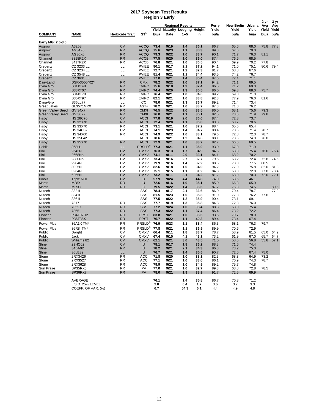#### **2017 Soybean Test Results Region 3 Early**

|                          | אוז c בariy                        |                        |                            |              |              |                         |              |              |                   |              |             |              |
|--------------------------|------------------------------------|------------------------|----------------------------|--------------|--------------|-------------------------|--------------|--------------|-------------------|--------------|-------------|--------------|
|                          | <b>Regional Results</b>            |                        |                            |              |              |                         |              | Perry        | New Berlin Urbana |              | 2 yr<br>Avg | 3 yr<br>Avg  |
|                          |                                    |                        |                            | Yield        |              | <b>Maturity Lodging</b> | Height       | Yield        | Yield             | Yield        | Yield       | Yield        |
| <b>COMPANY</b>           | <b>NAME</b>                        | <b>Herbicide Trait</b> | ST <sup>1</sup>            | bu/a         | Date         | $1 - 5$                 | <u>in</u>    | bu/a         | bu/a              | bu/a         | bu/a        | bu/a         |
|                          |                                    |                        |                            |              |              |                         |              |              |                   |              |             |              |
| Early MG: 2.6-3.6        |                                    |                        |                            |              |              |                         |              |              |                   |              |             |              |
| Asgrow                   | A3253                              | <b>CV</b>              | <b>ACCQ</b>                | 73.4         | 9/19         | 1.4                     | 36.1         | 86.7         | 65.6              | 68.0         | 75.8        | 77.3         |
| Asgrow                   | AG34X6                             | <b>RR</b>              | <b>ACCQ</b>                | 75.6         | 9/23         | 1.1                     | 38.3         | 89.3         | 67.6              | 70.0         |             |              |
| Asgrow                   | AG36X6                             | <b>RR</b>              | <b>ACCQ</b>                | 79.3         | 9/22         | 1.0                     | 33.7         | 90.1         | 71.7              | 76.3         | 81.1        |              |
| Channel                  | 3318R2X                            | <b>RR</b><br><b>RR</b> | <b>ACCB</b><br><b>ACCB</b> | 77.5<br>76.8 | 9/20<br>9/21 | 1.0<br>1.0              | 36.0<br>36.5 | 87.4<br>90.4 | 76.6              | 68.5<br>70.2 | 77.8        |              |
| Channel<br>Credenz       | 3417R2X<br>CZ 3233 LL              | LL                     | <b>PVIEE</b>               | 80.1         | 9/17         | 2.1                     | 37.2         | 94.1         | 69.9<br>71.0      | 75.1         | 80.6        | 79.4         |
| Credenz                  | CZ 3234 LL                         | LL                     | <b>PVIEE</b>               | 72.7         | 9/21         | 1.2                     | 32.3         | 81.7         | 68.8              | 67.6         |             |              |
| Credenz                  | CZ 3548 LL                         | LL                     | <b>PVIEE</b>               | 81.4         | 9/21         | 1.1                     | 34.4         | 93.5         | 74.2              | 76.7         |             |              |
| Credenz                  | CZ 3601 LL                         | LL                     | <b>PVIEE</b>               | 77.0         | 9/21         | 1.4                     | 35.4         | 87.6         | 72.4              | 71.1         |             |              |
| DairyLand                | DSR-3555/R2Y                       | <b>RR</b>              | <b>CMX</b>                 | 78.2         | 9/22         | 1.0                     | 37.1         | 94.2         | 71.1              | 69.5         |             |              |
| Dyna Gro                 | S31XT48                            | <b>RR</b>              | <b>EVIPC</b>               | 75.6         | 9/18         | 1.3                     | 37.4         | 86.5         | 71.2              | 69.0         |             |              |
| Dyna Gro                 | S33XT07                            | <b>RR</b>              | <b>EVIPC</b>               | 74.4         | 9/20         | 1.3                     | 35.5         | 86.0         | 69.3              | 68.0         | 75.7        |              |
| Dyna Gro                 | S34XT78                            | RR                     | <b>EVIPC</b>               | 76.4         | 9/21         | 1.0                     | 34.0         | 89.2         | 69.0              | 71.0         |             |              |
| Dyna Gro                 | S35XT97                            | <b>RR</b>              | <b>EVIPC</b>               | 82.1         | 9/21         | 1.0                     | 33.8         | 92.3         | 77.9              | 76.0         | 81.6        |              |
| Dyna-Gro                 | S36LL77                            | LL                     | CС                         | 78.0         | 9/21         | 1.3                     | 36.7         | 89.2         | 71.4              | 73.4         |             |              |
| <b>Great Lakes</b>       | GL3571NRX                          | <b>RR</b>              | AST+                       | 78.2         | 9/21         | 1.0                     | 33.7         | 87.3         | 71.0              | 76.2         |             |              |
| <b>Green Valley Seed</b> | <b>GV 34X7</b>                     | <b>RR</b>              | <b>CMXI</b>                | 76.5         | 9/22         | 1.0                     | 33.5         | 86.0         | 68.1              | 75.6         | 79.3        |              |
| <b>Green Valley Seed</b> | <b>GV 36X7</b>                     | <b>RR</b>              | <b>CMXI</b>                | 76.0         | 9/21         | 1.1                     | 35.1         | 82.5         | 73.6              | 71.9         | 79.8        |              |
| Hisoy                    | <b>HS 28C70</b><br><b>HS 32X70</b> | <b>CV</b><br><b>RR</b> | <b>ACCI</b><br><b>ACCI</b> | 77.8<br>72.4 | 9/19<br>9/20 | 2.0<br>1.1              | 36.0<br>36.8 | 87.4<br>83.0 | 72.3<br>63.7      | 73.7<br>70.6 |             |              |
| Hisoy<br>Hisoy           | <b>HS 33X70</b>                    | <b>RR</b>              | <b>ACCI</b>                | 73.1         | 9/21         | 1.0                     | 37.2         | 88.4         | 65.5              | 65.4         |             |              |
| Hisoy                    | <b>HS 34C62</b>                    | CV                     | <b>ACCI</b>                | 74.1         | 9/23         | 1.4                     | 34.7         | 80.4         | 70.5              | 71.4         | 78.7        |              |
| Hisoy                    | <b>HS 34X60</b>                    | <b>RR</b>              | <b>ACCI</b>                | 74.9         | 9/22         | 1.0                     | 33.1         | 79.6         | 72.8              | 72.3         | 78.7        |              |
| Hisoy                    | <b>HS 35L42</b>                    | LL                     | <b>ACCI</b>                | 78.6         | 9/21         | 1.2                     | 34.6         | 88.1         | 73.6              | 74.0         | 76.0        |              |
| Hisoy                    | <b>HS 35X70</b>                    | <b>RR</b>              | <b>ACCI</b>                | 72.9         | 9/21         | 1.0                     | 33.2         | 82.7         | 66.6              | 69.5         |             |              |
| Hoblit                   | 368LL                              | LL                     | PRSLD®                     | 77.3         | 9/21         | 1.1                     | 35.0         | 93.0         | 67.0              | 71.9         |             |              |
| Illini                   | 2643N                              | <b>CV</b>              | <b>CMXV</b>                | 76.3         | 9/13         | 1.7                     | 34.9         | 84.5         | 68.8              | 75.4         | 76.6        | 76.4         |
| Illini                   | 2668Na                             | <b>CV</b>              | <b>CMXV</b>                | 74.1         | 9/11         | 2.0                     | 33.1         | 84.1         | 68.2              | 70.2         |             |              |
| Illini                   | 2880Na                             | CV                     | <b>CMXV</b>                | 73.4         | 9/16         | 2.7                     | 32.7         | 79.6         | 68.2              | 72.4         | 72.8        | 74.5         |
| Illini                   | 2904N                              | CV                     | <b>CMXV</b>                | 79.9         | 9/16         | 1.4                     | 32.2         | 88.5         | 73.8              | 77.5         | 80.5        |              |
| Illini                   | 3025N                              | CV                     | <b>CMXV</b>                | 82.6         | 9/18         | 1.0                     | 34.0         | 94.2         | 77.9              | 75.8         | 82.0        | 81.8         |
| Illini                   | 3264N                              | CV                     | <b>CMXV</b>                | 75.1         | 9/15         | 1.1                     | 31.2         | 84.3         | 68.3              | 72.8         | 77.8        | 78.4         |
| Illini                   | 6265N                              | <b>CV</b>              | <b>CMXV</b>                | 73.2         | 9/11         | 3.1                     | 34.2         | 81.2         | 68.0              | 70.3         | 72.0        | 72.1         |
| <b>Illinois</b>          | <b>Triple Null</b>                 | <b>CV</b>              | U                          | 57.9         | 9/24         | 4.4                     | 44.8         | 74.0         | 53.6              | 46.1         |             |              |
| Martin                   | <b>M28X</b>                        | <b>RR</b>              | U                          | 72.6         | 9/16         | 1.0                     | 35.1         | 85.0         | 66.8              | 65.9         |             |              |
| Martin                   | <b>M35C</b><br>3321L               | <b>RR</b><br>LL        | O<br>SSS                   | 79.5<br>78.4 | 9/22<br>9/17 | 1.4<br>2.1              | 36.6<br>36.6 | 87.2<br>86.0 | 76.8<br>70.4      | 74.5<br>78.7 |             | 80.5<br>77.9 |
| Nutech<br>Nutech         | 3341L                              | LL                     | SSS                        | 81.5         | 9/23         | 1.0                     | 35.3         | 91.0         | 77.3              | 76.2         | 77.6        |              |
| Nutech                   | 3361L                              | LL                     | SSS                        | 77.5         | 9/22         | 1.2                     | 35.9         | 90.4         | 73.1              | 69.1         |             |              |
| Nutech                   | 7317                               | <b>RR</b>              | SSS                        | 77.7         | 9/19         | 1.3                     | 35.8         | 84.8         | 72.3              | 76.0         |             |              |
| Nutech                   | 7352X                              | <b>RR</b>              | SSS                        | 77.2         | 9/24         | 1.0                     | 38.4         | 88.3         | 68.0              | 75.4         |             |              |
| Nutech                   | 7365                               | <b>RR</b>              | <b>SSS</b>                 | 77.3         | 9/22         | 1.1                     | 37.4         | 86.4         | 73.2              | 72.2         |             |              |
| Pioneer                  | P34T07R2                           | <b>RR</b>              | <b>PPST</b>                | 83.8         | 9/21         | 1.0                     | 36.6         | 93.6         | 79.7              | 78.0         |             |              |
| Pioneer                  | P36T36X                            | <b>RR</b>              | <b>PPST</b>                | 76.7         | 9/22         | 1.1                     | 40.3         | 89.4         | 73.4              | 67.4         |             |              |
| Power Plus               | 36A1X TM*                          | <b>RR</b>              | PRSLD <sup>®</sup>         | 76.9         | 9/23         | 1.1                     | 38.4         | 86.3         | 68.1              | 76.3         | 79.7        |              |
| Power Plus               | 36R8 TM*                           | <b>RR</b>              | PRSLD <sup>®</sup>         | 77.8         | 9/21         | 1.1                     | 36.9         | 89.9         | 70.6              | 72.9         |             |              |
| Public                   | Dwight                             | CV                     | <b>CMXV</b>                | 66.4         | 9/11         | 1.8                     | 33.7         | 78.7         | 58.9              | 61.5         | 65.0        | 64.2         |
| Public                   | Jack                               | CV                     | <b>CMXV</b>                | 67.4         | 9/15         | 4.1                     | 43.1         | 73.2         | 61.9              | 67.0         | 65.7        | 64.7         |
| Public                   | Williams 82                        | <b>CV</b>              | <b>CMXV</b>                | 62.1         | 9/21         | 3.0                     | 43.5         | 71.0         | 58.5              | 56.8         | 55.8        | 57.1         |
| <b>Stine</b>             | 29HO02                             | <b>CV</b>              | U                          | 78.1         | 9/17         | 1.8                     | 36.2         | 88.3         | 71.6              | 74.4         |             |              |
| <b>Stine</b>             | 34BA02                             | <b>RR</b>              | U                          | 78.2         | 9/21         | 2.1                     | 34.3         | 86.3         | 73.2              | 75.0         |             |              |
| Stine                    | 36LE32                             | LL                     | U                          | 76.7         | 9/21         | 1.4                     | 35.5         | 90.7         | 72.0              | 67.4         | 75.0        |              |
| Stone                    | 2RX3426                            | RR                     | <b>ACC</b>                 | 71.8         | 9/20         | 1.0                     | 38.1         | 82.3         | 68.3              | 64.9         | 73.2        |              |
| Stone                    | 2RX3527                            | RR                     | ACC                        | 77.1         | 9/21         | 1.0                     | 33.6         | 86.1         | 70.9              | 74.3         | 78.7        |              |
| Stone                    | 2RX3628                            | RR                     | <b>ACC</b>                 | 79.9         | 9/21         | 1.0                     | 34.9         | 89.2         | 75.7              | 74.8         |             |              |
| Sun Praire               | SP35RX6                            | <b>RR</b>              | PV                         | 77.0         | 9/21         | 1.0                     | 32.7         | 89.3         | 68.8              | 72.8         | 78.5        |              |
| Sun Praire               | SP36RX7                            | <b>RR</b>              | PV                         | 78.0         | 9/21         | 1.9                     | 38.9         | 91.7         | 72.5              | 69.9         |             |              |
|                          | AVERAGE                            |                        |                            | 76.1         |              | 1.4                     | 35.8         | 86.7         | 70.3              | 71.2         |             |              |
|                          | L.S.D. 25% LEVEL                   |                        |                            | 2.8          |              | 0.4                     | $1.2$        | 3.6          | 3.2               | 3.3          |             |              |
|                          | COEFF. OF VAR. (%)                 |                        |                            | 6.7          |              | 54.3                    | 6.1          | 4.4          | 4.9               | 4.8          |             |              |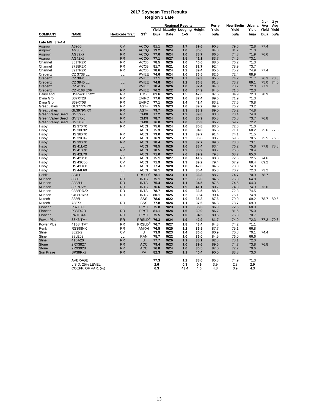#### **2017 Soybean Test Results Region 3 Late**

|                                   | Region 3 Late                      |                        |                            |              |              |                                                           |              |                |                            |              |                      |                      |
|-----------------------------------|------------------------------------|------------------------|----------------------------|--------------|--------------|-----------------------------------------------------------|--------------|----------------|----------------------------|--------------|----------------------|----------------------|
|                                   |                                    |                        |                            | Yield        |              | <b>Regional Results</b><br><b>Maturity Lodging Height</b> |              | Perry<br>Yield | New Berlin Urbana<br>Yield | Yield        | 2 yr<br>Avg<br>Yield | 3 yr<br>Avg<br>Yield |
| <b>COMPANY</b>                    | NAME                               | <b>Herbicide Trait</b> | $ST^1$                     | bu/a         | Date         | $1 - 5$                                                   | in           | bu/a           | bu/a                       | bu/a         | bu/a                 | bu/a                 |
| Late MG: 3.7-4.4                  |                                    |                        |                            |              |              |                                                           |              |                |                            |              |                      |                      |
| Asgrow                            | A3956                              | <b>CV</b>              | <b>ACCQ</b>                | 81.1         | 9/23         | 1.7                                                       | 39.6         | 90.8           | 79.6                       | 72.8         | 77.4                 |                      |
| Asgrow                            | AG38X8                             | <b>RR</b>              | <b>ACCQ</b>                | 79.2         | 9/24         | 1.0                                                       | 36.6         | 84.8           | 81.7                       | 71.0         |                      |                      |
| Asgrow                            | <b>AG39X7</b>                      | <b>RR</b>              | <b>ACCQ</b>                | 77.6         | 9/24         | 1.0                                                       | 38.7         | 86.5           | 74.3                       | 71.9         | 76.6                 |                      |
| Asgrow                            | AG42X6                             | <b>RR</b>              | <b>ACCQ</b>                | 77.1         | 9/27         | 1.5                                                       | 41.1         | 83.7           | 74.6                       | 73.1         |                      |                      |
| Channel<br>Channel                | 3517R2X<br>3718R2X                 | <b>RR</b><br><b>RR</b> | <b>ACCB</b><br><b>ACCB</b> | 78.5<br>81.7 | 9/20<br>9/21 | 1.0<br>1.0                                                | 40.0<br>32.7 | 88.0<br>92.4   | 76.2<br>78.9               | 71.3<br>73.7 |                      |                      |
| Channel                           | 3917R2X                            | <b>RR</b>              | <b>ACCB</b>                | 78.6         | 9/24         | 1.2                                                       | 39.4         | 85.6           | 75.2                       | 74.9         | 77.4                 |                      |
| Credenz                           | CZ 3738 LL                         | LL                     | <b>PVIEE</b>               | 74.6         | 9/24         | 1.0                                                       | 36.5         | 82.6           | 72.4                       | 68.9         |                      |                      |
| Credenz                           | CZ 3841 LL                         | LL                     | <b>PVIEE</b>               | 77.1         | 9/23         | 1.7                                                       | 39.3         | 85.5           | 74.2                       | 71.7         | 76.3                 | 78.3                 |
| Credenz                           | CZ 3945 LL                         | LL                     | <b>PVIEE</b>               | 74.8         | 9/24         | 1.2                                                       | 36.8         | 81.8           | 73.7                       | 69.1         | 75.0                 | 74.0                 |
| Credenz                           | <b>CZ 4105 LL</b>                  | LL                     | <b>PVIEE</b>               | 78.4         | 9/26         | 1.0                                                       | 37.4         | 84.3           | 78.7                       | 72.0         | 77.3                 |                      |
| Credenz<br>DairyLand              | <b>CZ 4168 EXP</b><br>DSR-4011/R2Y | <b>RR</b><br><b>RR</b> | <b>PVIEE</b><br><b>CMX</b> | 76.2<br>81.6 | 9/22<br>9/25 | 1.0<br>1.5                                                | 34.9<br>42.0 | 84.5<br>87.5   | 71.6<br>84.9               | 72.3<br>72.3 | 78.9                 |                      |
| Dyna Gro                          | S37XT28                            | <b>RR</b>              | <b>EVIPC</b>               | 77.6         | 9/23         | 1.0                                                       | 37.4         | 89.6           | 71.9                       | 71.3         |                      |                      |
| Dyna Gro                          | S39XT08                            | <b>RR</b>              | <b>EVIPC</b>               | 77.1         | 9/25         | 1.4                                                       | 42.4         | 83.2           | 77.5                       | 70.8         |                      |                      |
| Great Lakes                       | GL3777NRX                          | <b>RR</b>              | AST+                       | 79.5         | 9/23         | 1.0                                                       | 39.2         | 89.0           | 76.2                       | 73.2         |                      |                      |
| <b>Great Lakes</b>                | GL3979NRX                          | <b>RR</b>              | AST+                       | 79.7         | 9/25         | 1.3                                                       | 38.9         | 89.0           | 75.2                       | 74.8         |                      |                      |
| <b>Green Valley Seed</b>          | <b>GV 39X7</b>                     | <b>RR</b>              | <b>CMXI</b>                | 77.2         | 9/25         | 1.2                                                       | 39.8         | 83.3           | 73.4                       | 74.8         |                      |                      |
| <b>Green Valley Seed</b>          | <b>GV 37X6</b>                     | <b>RR</b>              | <b>CMXI</b>                | 78.7         | 9/24         | 1.0                                                       | 35.9         | 85.8           | 76.8                       | 73.7         | 76.8                 |                      |
| <b>Green Valley Seed</b><br>Hisoy | <b>GV 38X8</b><br><b>HS 37X70</b>  | <b>RR</b><br><b>RR</b> | <b>CMXI</b><br><b>ACCI</b> | 76.0<br>75.6 | 9/23<br>9/24 | 1.0<br>1.0                                                | 36.3<br>35.8 | 86.2<br>83.0   | 69.7<br>72.6               | 72.2<br>71.0 |                      |                      |
| Hisoy                             | <b>HS 38L32</b>                    | LL                     | <b>ACCI</b>                | 75.3         | 9/24         | 1.0                                                       | 34.8         | 86.6           | 71.1                       | 68.2         | 75.6                 | 77.5                 |
| Hisoy                             | <b>HS 38X70</b>                    | <b>RR</b>              | <b>ACCI</b>                | 79.0         | 9/23         | 1.1                                                       | 39.7         | 91.4           | 74.1                       | 71.5         |                      |                      |
| Hisoy                             | <b>HS 39C42</b>                    | CV                     | <b>ACCI</b>                | 76.9         | 9/25         | 1.2                                                       | 36.6         | 90.7           | 69.5                       | 70.5         | 75.5                 | 76.5                 |
| <b>Hisoy</b>                      | <b>HS 39X70</b>                    | <b>RR</b>              | <b>ACCI</b>                | 78.4         | 9/25         | 1.3                                                       | 37.7         | 89.0           | 73.0                       | 73.1         |                      |                      |
| Hisoy                             | <b>HS 41L42</b>                    | LL                     | <b>ACCI</b>                | 78.5         | 9/26         | 1.0                                                       | 38.4         | 83.4           | 76.2                       | 75.8         | 77.8                 | 78.8                 |
| Hisoy                             | <b>HS 41X70</b>                    | <b>RR</b><br>LL        | <b>ACCI</b>                | 78.5         | 9/26         | 1.2                                                       | 38.9         | 88.7           | 76.5                       | 70.4         |                      |                      |
| Hisoy<br>Hisoy                    | <b>HS 42L70</b><br><b>HS 42X50</b> | <b>RR</b>              | <b>ACCI</b><br><b>ACCI</b> | 71.0<br>75.1 | 9/27<br>9/27 | 2.6<br>1.0                                                | 39.9<br>41.2 | 79.3<br>80.0   | 68.7<br>72.6               | 65.0<br>72.5 | 74.6                 |                      |
| Hisoy                             | <b>HS 43C60</b>                    | <b>CV</b>              | ACCI                       | 71.9         | 9/26         | 1.9                                                       | 39.2         | 79.4           | 67.9                       | 68.4         | 69.2                 |                      |
| Hisoy                             | <b>HS 43X60</b>                    | <b>RR</b>              | <b>ACCI</b>                | 77.4         | 9/28         | 1.8                                                       | 42.0         | 84.5           | 73.8                       | 74.0         |                      |                      |
| Hisoy                             | <b>HS 44L60</b>                    | LL                     | <b>ACCI</b>                | 76.1         | 9/28         | 1.1                                                       | 35.4         | 85.3           | 70.7                       | 72.3         | 73.2                 |                      |
| Hoblit                            | 384LL                              | LL                     | <b>PRSLD®</b>              | 78.1         | 9/23         | 1.1                                                       | 36.3         | 88.7           | 74.7                       | 70.9         | 78.7                 |                      |
| Munson                            | 8380                               | <b>RR</b>              | <b>INTS</b>                | 75.1         | 9/24         | 1.2                                                       | 36.0         | 84.6           | 75.8                       | 64.8         |                      |                      |
| Munson                            | 8383LL                             | <b>RR</b>              | <b>INTS</b>                | 75.4         | 9/23         | 1.1                                                       | 34.5         | 87.5           | 74.5                       | 64.3         |                      |                      |
| Munson                            | 8397R2Y                            | <b>RR</b>              | <b>INTS</b>                | 76.6         | 9/25         | 1.9                                                       | 41.1         | 80.7           | 74.3                       | 74.9         | 73.6                 |                      |
| Munson<br>Munson                  | 9388RR2X<br>9408RR2X               | <b>RR</b><br><b>RR</b> | <b>INTS</b><br><b>INTS</b> | 78.7<br>80.1 | 9/24<br>9/25 | 1.0<br>1.2                                                | 36.5<br>39.4 | 88.8<br>90.4   | 72.8<br>75.1               | 74.5<br>74.8 |                      |                      |
| Nutech                            | 3386L                              | LL                     | SSS                        | 78.6         | 9/22         | 1.0                                                       | 35.8         | 87.6           | 79.0                       | 69.2         | 78.7                 | 80.5                 |
| Nutech                            | 7387X                              | <b>RR</b>              | SSS                        | 77.8         | 9/24         | 1.1                                                       | 37.6         | 84.8           | 78.7                       | 69.9         |                      |                      |
| Pioneer                           | P37T09L                            | LL.                    | <b>PPST</b>                | 75.8         | 9/23         | 1.1                                                       | 35.3         | 86.9           | 72.5                       | 68.0         |                      |                      |
| Pioneer                           | P38T42R                            | <b>RR</b>              | <b>PPST</b>                | 81.1         | 9/24         | 1.6                                                       | 39.9         | 86.7           | 81.6                       | 75.0         |                      |                      |
| Pioneer                           | P40T84X                            | <b>RR</b>              | <b>PPST</b>                | 75.5         | 9/25         | 1.0                                                       | 34.5         | 80.6           | 75.3                       | 70.7         |                      |                      |
| Power Plus                        | 38K6 TM*                           | <b>RR</b>              | PRSLD®                     | 76.3         | 9/24         | 1.9                                                       | 42.9         | 81.7           | 74.9                       | 72.3         |                      | 77.2 79.3            |
| Power Plus                        | 41B8 TM'                           | <b>RR</b>              | PRSLD®                     | 76.7         | 9/27         | 1.8                                                       | 43.4         | 84.8           | 74.2                       | 71.1         |                      |                      |
| Renk                              | <b>RS398NX</b>                     | <b>RR</b>              | AMXVI<br>U                 | 76.5         | 9/25<br>9/23 | 1.2                                                       | 36.9         | 87.7           | 75.1                       | 66.8         |                      |                      |
| Stine<br><b>Stine</b>             | 3822-2<br>38LE02                   | CV<br>LL               | <b>RAN</b>                 | 73.9<br>75.7 | 9/22         | 1.4<br>1.0                                                | 36.0<br>36.0 | 80.9<br>84.5   | 70.8<br>76.0               | 70.1<br>66.6 | 74.4                 |                      |
| <b>Stine</b>                      | 41BA20                             | <b>RR</b>              | U                          | 77.7         | 9/26         | 1.1                                                       | 38.1         | 82.8           | 78.1                       | 72.0         |                      |                      |
| <b>Stone</b>                      | 2RX3827                            | <b>RR</b>              | <b>ACC</b>                 | 79.4         | 9/23         | 1.0                                                       | 39.6         | 89.6           | 74.7                       | 73.8         | 76.8                 |                      |
| Stone                             | 2RX3928                            | <b>RR</b>              | <b>ACC</b>                 | 76.8         | 9/24         | 1.0                                                       | 36.5         | 87.0           | 72.7                       | 70.6         |                      |                      |
| Sun Praire                        | SP38RX7                            | <b>RR</b>              | PV                         | 82.3         | 9/23         | 1.1                                                       | 40.4         | 90.0           | 83.8                       | 73.0         |                      |                      |
|                                   |                                    |                        |                            | 77.3         |              | 1.2                                                       | 38.0         | 85.8           | 74.9                       | 71.3         |                      |                      |
|                                   | AVERAGE<br>L.S.D. 25% LEVEL        |                        |                            | 2.6          |              | 0.3                                                       | 0.9          | 3.9            | 2.8                        | 2.9          |                      |                      |
|                                   | COEFF. OF VAR. (%)                 |                        |                            | 6.3          |              | 43.4                                                      | 4.5          | 4.8            | 3.9                        | 4.3          |                      |                      |
|                                   |                                    |                        |                            |              |              |                                                           |              |                |                            |              |                      |                      |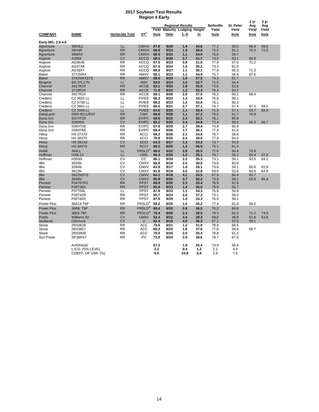#### **2017 Soybean Test Results Region 4 Early**

|                   | .                  |                        |                            |       |      |                                |                   |           |             |             |       |  |
|-------------------|--------------------|------------------------|----------------------------|-------|------|--------------------------------|-------------------|-----------|-------------|-------------|-------|--|
|                   |                    |                        |                            |       |      | <b>Regional Results</b>        | <b>Belleville</b> | St. Peter | 2 yr<br>Avg | 3 yr<br>Avg |       |  |
|                   |                    |                        |                            | Yield |      | <b>Maturity Lodging Height</b> |                   | Yield     | Yield       | Yield       | Yield |  |
| <b>COMPANY</b>    | <b>NAME</b>        | <b>Herbicide Trait</b> | $ST^1$                     | bu/a  | Date | $1 - 5$                        | <u>in</u>         | bu/a      | bu/a        | bu/a        | bu/a  |  |
|                   |                    |                        |                            |       |      |                                |                   |           |             |             |       |  |
| Early MG: 2.9-4.0 |                    |                        |                            |       |      |                                |                   |           |             |             |       |  |
| Agventure         | 38E8LL             | LL                     | <b>CMXVI</b>               | 67.6  | 9/20 | 1.4                            | 34.8              | 77.2      | 58.0        | 68.9        | 69.0  |  |
| Agventure         | 38H4R              | <b>RR</b>              | <b>CMXVI</b>               | 66.8  | 9/23 | 1.9                            | 39.0              | 72.5      | 61.2        | 70.3        | 72.5  |  |
| Agventure         | 38W5X              | <b>RR</b>              | <b>CMXVI</b>               | 68.3  | 9/25 | 1.1                            | 34.9              | 76.8      | 59.7        |             |       |  |
| Asgrow            | A3956              | <b>CV</b>              | <b>ACCQ</b>                | 68.3  | 9/26 | 2.7                            | 41.7              | 73.5      | 63.1        | 66.8        |       |  |
| Asgrow            | AG36X6             | <b>RR</b>              | <b>ACCQ</b>                | 67.5  | 9/23 | 0.9                            | 31.0              | 77.9      | 57.0        | 72.2        |       |  |
| Asgrow            | AG37X8             | <b>RR</b>              | <b>ACCQ</b>                | 67.4  | 9/24 | 1.5                            | 35.2              | 73.3      | 61.5        |             |       |  |
| Asgrow            | AG39X7             | <b>RR</b>              | <b>ACCQ</b>                | 68.9  | 9/27 | 1.1                            | 36.1              | 77.6      | 60.3        | 71.3        |       |  |
| Baker             | 3772NRX            | <b>RR</b>              | AMXV                       | 66.1  | 9/23 | 1.1                            | 34.9              | 75.7      | 56.4        | 67.6        |       |  |
| <b>Baker</b>      | 3782NRXSTS         | <b>RR</b>              | <b>AMXV</b>                | 68.0  | 9/25 | 1.6                            | 37.5              | 74.3      | 61.7        |             |       |  |
| <b>Biogene</b>    | <b>BG 37L17N</b>   | LL                     | AMX                        | 63.0  | 9/24 | 1.0                            | 32.7              | 71.5      | 54.4        |             |       |  |
| Channel           | 3417R2X            | <b>RR</b>              | <b>ACCB</b>                | 63.1  | 9/20 | 1.8                            | 35.0              | 73.6      | 52.6        |             |       |  |
| Channel           | 3718R2X            | <b>RR</b>              | <b>ACCB</b>                | 71.8  | 9/23 | 1.2                            | 32.3              | 79.4      | 64.2        |             |       |  |
| Channel           | 3917R2X            | <b>RR</b>              | <b>ACCB</b>                | 68.1  | 9/26 | 2.0                            | 37.5              | 76.1      | 60.1        | 68.4        |       |  |
| Credenz           | CZ 3601 LL         | LL                     | <b>PVIEE</b>               | 66.3  | 9/22 | 1.3                            | 33.9              | 76.5      | 56.1        |             |       |  |
| Credenz           | CZ 3738 LL         | LL                     | <b>PVIEE</b>               | 68.2  | 9/23 | 1.2                            | 34.8              | 76.1      | 60.3        |             |       |  |
| Credenz           | CZ 3841 LL         | LL                     | <b>PVIEE</b>               | 66.0  | 9/21 | 2.7                            | 37.1              | 74.7      | 57.4        | 67.5        | 69.5  |  |
| Credenz           | CZ 3945 LL         | LL                     | <b>PVIEE</b>               | 64.6  | 9/25 | 1.1                            | 36.4              | 71.9      | 57.4        | 63.7        | 65.9  |  |
| DairyLand         | DSR-4011/R2Y       | <b>RR</b>              | <b>CMX</b>                 | 69.9  | 9/29 | 1.1                            | 37.2              | 78.0      | 61.7        | 70.9        |       |  |
| Dyna Gro          | S37XT28            | <b>RR</b>              | <b>EVIPC</b>               | 68.5  | 9/25 | 2.3                            | 35.1              | 76.1      | 60.9        |             |       |  |
| Dyna Gro          | S3805N             | <b>CV</b>              | <b>EVIPC</b>               | 65.2  | 9/25 | 2.4                            | 34.9              | 72.4      | 58.0        | 65.3        | 66.7  |  |
| Dyna Gro          | S39XT08            | <b>RR</b>              | <b>EVIPC</b>               | 67.9  | 9/29 | 2.7                            | 39.4              | 74.8      | 60.9        |             |       |  |
| Dyna Gro          | S39XT68            | <b>RR</b>              | <b>EVIPC</b>               | 69.4  | 9/26 | 1.7                            | 36.1              | 77.4      | 61.5        |             |       |  |
| Hisoy             | <b>HS 37X70</b>    | <b>RR</b>              | <b>ACCI</b>                | 68.2  | 9/26 | 2.1                            | 34.8              | 76.7      | 59.6        |             |       |  |
| Hisoy             | <b>HS 38X70</b>    | <b>RR</b>              | <b>ACCI</b>                | 70.9  | 9/25 | 2.4                            | 39.0              | 77.9      | 64.0        |             |       |  |
| Hisoy             | <b>HS 39C42</b>    | <b>CV</b>              | <b>ACCI</b><br><b>ACCI</b> | 64.3  | 9/27 | 1.3                            | 33.2              | 73.7      | 54.9        |             |       |  |
| Hisoy             | <b>HS 39X70</b>    | <b>RR</b>              |                            | 68.2  | 9/25 | 1.3                            | 36.5              | 75.1      | 61.4        |             |       |  |
| Hoblit            | 384LL              | LL                     | PRSLD®                     | 69.0  | 9/22 | 0.9                            | 35.5              | 77.6      | 60.4        | 70.9        |       |  |
| Hoffman           | H38L15             | LL                     | <b>CMX</b>                 | 66.4  | 9/25 | 1.3                            | 35.1              | 76.7      | 56.2        | 65.4        | 67.8  |  |
| Hoffman           | H393N              | <b>CV</b>              | cc                         | 66.1  | 9/24 | 2.3                            | 35.3              | 73.1      | 59.1        | 63.5        | 64.2  |  |
| Illini            | 3025N              | <b>CV</b>              | <b>CMXV</b>                | 68.8  | 9/18 | 2.0                            | 30.9              | 74.6      | 63.0        |             |       |  |
| Illini            | 3264N              | <b>CV</b>              | <b>CMXV</b>                | 63.9  | 9/17 | 1.0                            | 28.1              | 73.6      | 54.1        | 60.9        | 61.9  |  |
| Illini            | 3613N              | CV                     | <b>CMXV</b>                | 61.8  | 9/19 | 3.0                            | 32.8              | 69.8      | 53.8        | 60.8        | 64.8  |  |
| Illini            | <b>3822NSTS</b>    | <b>CV</b>              | <b>CMXV</b>                | 64.1  | 9/18 | 4.1                            | 33.5              | 67.9      | 60.4        | 62.7        |       |  |
| Illini            | 3849N              | <b>CV</b>              | <b>CMXV</b>                | 65.9  | 9/25 | 3.7                            | 30.2              | 73.8      | 58.1        | 63.9        | 65.4  |  |
| Pioneer           | P34T07R2           | <b>RR</b>              | <b>PPST</b>                | 69.9  | 9/20 | 2.3                            | 33.4              | 76.9      | 62.8        |             |       |  |
| Pioneer           | P36T36X            | <b>RR</b>              | <b>PPST</b>                | 65.8  | 9/23 | 1.4                            | 36.0              | 75.9      | 55.7        |             |       |  |
| Pioneer           | P37T09L            | LL                     | <b>PPST</b>                | 67.8  | 9/23 | 1.1                            | 34.3              | 75.8      | 59.9        |             |       |  |
| Pioneer           | P38T42R            | <b>RR</b>              | <b>PPST</b>                | 65.7  | 9/23 | 2.6                            | 37.3              | 73.1      | 58.3        |             |       |  |
| Pioneer           | P40T84X            | <b>RR</b>              | <b>PPST</b>                | 67.5  | 9/29 | 1.0                            | 33.3              | 76.0      | 59.1        |             |       |  |
| Power Plus        | 36A1X TM*          | <b>RR</b>              | $PRSLD^{\circledR}$        | 69.2  | 9/25 | 1.0                            | 36.2              | 77.4      | 61.0        | 69.2        |       |  |
| <b>Power Plus</b> | 36R8 TM*           | <b>RR</b>              | $PRSLD^{\circledast}$      | 68.4  | 9/25 | 0.9                            | 36.5              | 76.2      | 60.6        |             |       |  |
| <b>Power Plus</b> | 38K6 TM*           | <b>RR</b>              | PRSLD®                     | 70.4  | 9/28 | 2.3                            | 39.5              | 78.3      | 62.4        | 71.2        | 74.0  |  |
| Public            | Williams 82        | <b>CV</b>              | <b>CMXV</b>                | 53.4  | 9/22 | 3.4                            | 39.3              | 58.0      | 48.8        | 51.8        | 53.6  |  |
| Sedlacek          | Clermont           | <b>CV</b>              | U                          | 62.4  | 9/18 | 4.0                            | 36.3              | 67.2      | 57.5        | 58.1        |       |  |
| Stone             | 2RX3628            | <b>RR</b>              | ACC                        | 73.6  | 9/21 | 1.2                            | 31.9              | 78.6      | 68.5        |             |       |  |
| Stone             | 2RX3827            | <b>RR</b>              | <b>ACC</b>                 | 68.2  | 9/25 | 1.6                            | 37.6              | 77.6      | 58.8        | 69.7        |       |  |
| Stone             | 2RX3928            | <b>RR</b>              | <b>ACC</b>                 | 70.0  | 9/25 | 2.0                            | 35.4              | 78.8      | 61.2        |             |       |  |
| Sun Praire        | SP38RX7            | <b>RR</b>              | PV                         | 73.0  | 9/24 | 2.0                            | 39.6              | 78.7      | 67.4        |             |       |  |
|                   |                    |                        |                            |       |      |                                |                   |           |             |             |       |  |
|                   | AVERAGE            |                        |                            | 67.2  |      | 1.8                            | 35.4              | 74.9      | 59.4        |             |       |  |
|                   | L.S.D. 25% LEVEL   |                        |                            | 2.2   |      | 0.4                            | 1.2               | 2.1       | 4.3         |             |       |  |
|                   | COEFF. OF VAR. (%) |                        |                            | 6.0   |      | 24.8                           | 5.9               | 2.9       | 7.6         |             |       |  |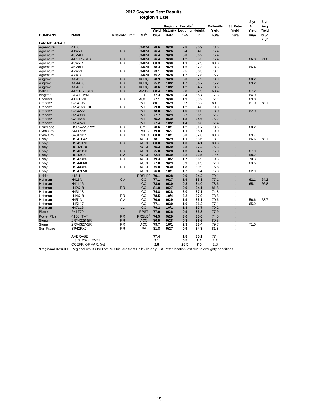#### **2017 Soybean Test Results Region 4 Late**

|                               |                                                                                                                  |                        | Region 4 Late              |              |                                |                               |              |                   |             |             |             |
|-------------------------------|------------------------------------------------------------------------------------------------------------------|------------------------|----------------------------|--------------|--------------------------------|-------------------------------|--------------|-------------------|-------------|-------------|-------------|
|                               |                                                                                                                  |                        |                            |              |                                |                               |              |                   |             | 2 yr        | 3 yr        |
|                               |                                                                                                                  |                        |                            |              |                                | Regional Results <sup>2</sup> |              | <b>Belleville</b> | St. Peter   | Avg         | Avg         |
|                               |                                                                                                                  |                        |                            | Yield        | <b>Maturity Lodging Height</b> |                               |              | Yield             | Yield       | Yield       | Yield       |
| <b>COMPANY</b>                | <b>NAME</b>                                                                                                      | <b>Herbicide Trait</b> | $ST^1$                     | <u>bu/a</u>  | Date                           | <u>1 - 5</u>                  | <u>in</u>    | <u>bu/a</u>       | <u>bu/a</u> | <u>bu/a</u> | <u>bu/a</u> |
| Late MG: 4.1-4.7              |                                                                                                                  |                        |                            |              |                                |                               |              |                   |             |             | 2 yr        |
| Agventure                     | 41B5LL                                                                                                           | LL                     | <b>CMXVI</b>               | 78.6         | 9/28                           | 2.8                           | 35.9         | 78.6              |             |             |             |
| Agventure                     | 41W7X                                                                                                            | <b>RR</b>              | <b>CMXVI</b>               | 76.4         | 9/26                           | 3.4                           | 34.0         | 76.4              |             |             |             |
| Agventure                     | 43M4LL                                                                                                           | LL                     | <b>CMXVI</b>               | 76.4         | 9/28                           | 3.0                           | 36.2         | 76.4              |             |             |             |
| Agventure                     | 44Z8RRSTS                                                                                                        | <b>RR</b>              | <b>CMXVI</b>               | 76.4         | 9/30                           | 1.2                           | 33.5         | 76.4              |             | 66.8        | 71.0        |
| Agventure                     | 45W7R                                                                                                            | <b>RR</b>              | <b>CMXVI</b>               | 80.3         | 9/30                           | 1.1                           | 32.9         | 80.3              |             |             |             |
| Agventure                     | 46M8LL                                                                                                           | LL                     | <b>CMXVI</b>               | 78.3         | 9/29                           | 1.5                           | 37.3         | 78.3              |             | 66.4        |             |
| Agventure                     | 47W2X                                                                                                            | <b>RR</b>              | <b>CMXVI</b>               | 73.1         | 9/30                           | 2.5                           | 38.5         | 73.1              |             |             |             |
| Agventure                     | 47W3LL                                                                                                           | LL                     | <b>CMXVI</b>               | 75.2         | 9/28                           | 1.2                           | 37.8         | 75.2              |             |             |             |
| Asgrow                        | AG42X6                                                                                                           | <b>RR</b>              | <b>ACCQ</b>                | 78.9         | 9/28                           | 3.0                           | 37.9         | 78.9              |             | 68.2        |             |
| Asgrow                        | AG44X6                                                                                                           | <b>RR</b>              | <b>ACCQ</b>                | 75.2         | 10/2                           | 1.7                           | 36.7         | 75.2              |             | 69.2        |             |
| Asgrow                        | AG46X6                                                                                                           | RR                     | <b>ACCQ</b>                | 78.6         | 10/2                           | 1.2                           | 34.7         | 78.6              |             |             |             |
| <b>Baker</b>                  | 4472NRXSTS                                                                                                       | <b>RR</b>              | <b>AMXV</b>                | 68.4         | 10/6                           | 2.8                           | 32.9         | 68.4              |             | 67.2        |             |
| Biogene                       | <b>BG41L15N</b>                                                                                                  | LL                     | U                          | 77.3         | 9/28                           | 2.4                           | 35.7         | 77.3              |             | 64.9        |             |
| Channel                       | 4116R2X                                                                                                          | <b>RR</b>              | <b>ACCB</b>                | 77.1         | 9/30                           | 1.9                           | 39.2         | 77.1              |             | 69.8        |             |
| Credenz                       | CZ 4105 LL                                                                                                       | LL                     | <b>PVIEE</b>               | 80.1         | 9/29                           | 0.7                           | 33.2         | 80.1              |             | 67.0        | 68.1        |
| Credenz                       | <b>CZ 4168 EXP</b>                                                                                               | <b>RR</b>              | <b>PVIEE</b>               | 79.0         | 9/28                           | 1.2                           | 34.8         | 79.0              |             |             |             |
| Credenz                       | <b>CZ 4222 LL</b>                                                                                                | LL                     | <b>PVIEE</b>               | 78.0         | 9/27                           | 1.0                           | 31.0         | 78.0              |             | 62.9        |             |
| Credenz                       | <b>CZ 4308 LL</b>                                                                                                | LL                     | <b>PVIEE</b>               | 77.7         | 9/29                           | 3.7                           | 36.9         | 77.7              |             |             |             |
| Credenz                       | <b>CZ 4548 LL</b>                                                                                                | LL                     | <b>PVIEE</b>               | 75.2         | 9/30                           | 1.8                           | 34.6         | 75.2              |             |             |             |
| Credenz                       | <b>CZ 4748 LL</b>                                                                                                | LL                     | <b>PVIEE</b>               | 77.4         | 10/2                           | 1.4                           | 36.6         | 77.4              |             |             |             |
| DairyLand                     | DSR-4225/R2Y                                                                                                     | <b>RR</b>              | <b>CMX</b>                 | 78.6         | 10/1                           | 1.2                           | 31.7         | 78.6              |             | 68.2        |             |
| Dyna Gro                      | S41XS98                                                                                                          | <b>RR</b>              | <b>EVIPC</b>               | 79.0         | 9/27                           | 1.1                           | 35.1         | 79.0              |             |             |             |
| Dyna Gro                      | S43XS27                                                                                                          | <b>RR</b>              | <b>EVIPC</b>               | 80.8<br>78.1 | 10/1                           | 3.0                           | 37.0         | 80.8              |             | 69.7        |             |
| Hisoy                         | <b>HS 41L42</b>                                                                                                  | LL                     | <b>ACCI</b>                |              | 9/29                           | 1.1                           | 33.6         | 78.1              |             | 66.6        | 68.1        |
| Hisoy                         | <b>HS 41X70</b><br><b>HS 42L70</b>                                                                               | <b>RR</b><br>LL        | <b>ACCI</b><br><b>ACCI</b> | 80.8<br>75.3 | 9/28<br>9/29                   | 1.0<br>2.8                    | 34.1<br>37.2 | 80.8<br>75.3      |             |             |             |
| Hisoy                         | <b>HS 42X50</b>                                                                                                  | <b>RR</b>              | <b>ACCI</b>                | 75.0         | 9/28                           | 1.3                           | 34.7         | 75.0              |             | 67.9        |             |
| Hisoy<br>Hisoy                | <b>HS 43C60</b>                                                                                                  | <b>CV</b>              | <b>ACCI</b>                | 72.4         | 9/30                           | 3.2                           | 33.5         | 72.4              |             | 58.2        |             |
| Hisoy                         | <b>HS 43X60</b>                                                                                                  | <b>RR</b>              | <b>ACCI</b>                | 79.3         | 10/2                           | 1.7                           | 36.9         | 79.3              |             | 70.3        |             |
| Hisoy                         | <b>HS 44L60</b>                                                                                                  | LL                     | <b>ACCI</b>                | 77.0         | 9/29                           | 0.9                           | 31.9         | 77.0              |             | 63.5        |             |
| Hisoy                         | <b>HS 44X60</b>                                                                                                  | <b>RR</b>              | <b>ACCI</b>                | 75.8         | 9/30                           | 1.8                           | 39.9         | 75.8              |             |             |             |
| Hisoy                         | <b>HS 47L50</b>                                                                                                  | LL                     | <b>ACCI</b>                | 76.8         | 10/1                           | 1.7                           | 36.4         | 76.8              |             | 62.9        |             |
| Hoblit                        | 418LL                                                                                                            | LL                     | PRSLD <sup>®</sup>         | 79.1         | 9/28                           | 0.9                           | 34.2         | 79.1              |             |             |             |
| Hoffman                       | <b>H416N</b>                                                                                                     | <b>CV</b>              | cc                         | 77.1         | 9/27                           | 1.9                           | 33.3         | 77.1              |             | 62.1        | 64.2        |
| Hoffman                       | H41L16                                                                                                           | LL                     | CC                         | 78.6         | 9/30                           | 0.8                           | 34.0         | 78.6              |             | 65.1        | 66.8        |
| Hoffman                       | H42X18                                                                                                           | <b>RR</b>              | CC                         | 81.8         | 9/27                           | 0.9                           | 34.1         | 81.8              |             |             |             |
| Hoffman                       | H43L18                                                                                                           | LL                     | $\overline{cc}$            | 74.8         | 9/28                           | 3.0                           | 37.1         | 74.8              |             |             |             |
| Hoffman                       | H44X18                                                                                                           | <b>RR</b>              | CС                         | 78.5         | 10/4                           | 3.2                           | 37.9         | 78.5              |             |             |             |
| Hoffman                       | H451N                                                                                                            | CV                     | CC                         | 70.6         | 9/29                           | 1.9                           | 36.1         | 70.6              |             | 56.6        | 58.7        |
| Hoffman                       | H45L17                                                                                                           | LL                     | CC                         | 77.1         | 9/30                           | 1.0                           | 31.2         | 77.1              |             | 65.9        |             |
| Hoffman                       | H47L16                                                                                                           | LL                     | <b>CC</b>                  | 79.2         | 10/1                           | 1.3                           | 37.7         | 79.2              |             |             |             |
| Pioneer                       | P41T79L                                                                                                          | LL                     | <b>PPST</b>                | 77.9         | 9/26                           | 0.9                           | 33.3         | 77.9              |             |             |             |
| <b>Power Plus</b>             | 41B8 TM*                                                                                                         | <b>RR</b>              | PRSLD®                     | 74.5         | 9/29                           | 3.0                           | 35.6         | 74.5              |             |             |             |
| <b>Stone</b>                  | 2RX4228-SR                                                                                                       | <b>RR</b>              | <b>ACC</b>                 | 80.5         | 9/28                           | 0.8                           | 36.6         | 80.5              |             |             |             |
| Stone                         | 2RX4327-SR                                                                                                       | <b>RR</b>              | <b>ACC</b>                 | 79.7         | 10/1                           | 2.3                           | 38.4         | 79.7              |             | 71.0        |             |
| Sun Praire                    | SP42RX7                                                                                                          | <b>RR</b>              | PV                         | 81.8         | 9/27                           | 0.9                           | 34.3         | 81.8              |             |             |             |
|                               | <b>AVERAGE</b>                                                                                                   |                        |                            | 77.4         |                                | 1.8                           | 35.1         | 77.4              |             |             |             |
|                               | L.S.D. 25% LEVEL                                                                                                 |                        |                            | 2.1          |                                | 0.5                           | 1.4          | 2.1               |             |             |             |
|                               | COEFF. OF VAR. (%)                                                                                               |                        |                            | 2.8          |                                | 28.5                          | 7.5          | 2.8               |             |             |             |
|                               |                                                                                                                  |                        |                            |              |                                |                               |              |                   |             |             |             |
| <sup>2</sup> Regional Results | Regional results for Late MG trial are from Belleville only. St. Peter location lost due to droughty conditions. |                        |                            |              |                                |                               |              |                   |             |             |             |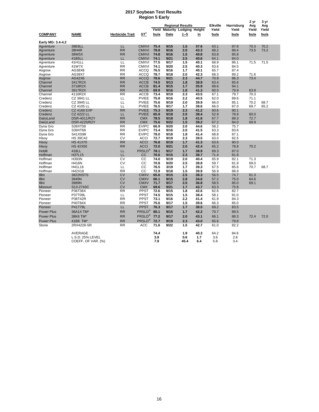#### **2017 Soybean Test Results Region 5 Early**

|                   |                    |                        | Region o Eariy      |       |                                |                         |                 |            |             |             |       |
|-------------------|--------------------|------------------------|---------------------|-------|--------------------------------|-------------------------|-----------------|------------|-------------|-------------|-------|
|                   |                    |                        |                     |       |                                | <b>Regional Results</b> | <b>Elkville</b> | Harrisburg | 2 yr<br>Avg | 3 yr<br>Avg |       |
|                   |                    |                        |                     | Yield | <b>Maturity Lodging Height</b> |                         |                 | Yield      | Yield       | Yield       | Yield |
| <b>COMPANY</b>    | <b>NAME</b>        | <b>Herbicide Trait</b> | ST <sup>1</sup>     | bu/a  | Date                           | $1 - 5$                 | in              | bu/a       | bu/a        | bu/a        | bu/a  |
| Early MG: 3.4-4.2 |                    |                        |                     |       |                                |                         |                 |            |             |             |       |
| Agventure         | 38E8LL             | LL                     | <b>CMXVI</b>        | 75.4  | 9/15                           | 1.5                     | 37.6            | 63.1       | 87.8        | 70.3        | 70.2  |
| Agventure         | 38H4R              | <b>RR</b>              | <b>CMXVI</b>        | 78.8  | 9/16                           | 2.0                     | 43.3            | 68.2       | 89.4        | 73.5        | 73.2  |
| Agventure         | 38W5X              | <b>RR</b>              | <b>CMXVI</b>        | 74.8  | 9/16                           | 1.5                     | 40.8            | 63.8       | 85.8        |             |       |
| Agventure         | 41B5LL             | LL                     | <b>CMXVI</b>        | 74.1  | 9/21                           | 2.5                     | 40.6            | 64.1       | 84.0        |             |       |
| Agventure         | 41H1LL             | LL                     | <b>CMXVI</b>        | 77.5  | 9/17                           | 1.5                     | 40.1            | 68.9       | 86.1        | 71.5        | 71.5  |
| Agventure         | 41W7X              | <b>RR</b>              | <b>CMXVI</b>        | 74.1  | 9/20                           | 2.5                     | 40.3            | 63.6       | 84.5        |             |       |
| Asgrow            | AG38X8             | <b>RR</b>              | <b>ACCQ</b>         | 76.5  | 9/16                           | 1.7                     | 40.1            | 65.7       | 87.4        |             |       |
| Asgrow            | AG39X7             | <b>RR</b>              | <b>ACCQ</b>         | 78.7  | 9/18                           | 2.0                     | 42.3            | 68.3       | 89.2        | 71.6        |       |
| Asgrow            | AG42X6             | <b>RR</b>              | <b>ACCQ</b>         | 78.6  | 9/21                           | 2.3                     | 44.7            | 70.9       | 86.3        | 73.4        |       |
| Channel           | 3417R2X            | <b>RR</b>              | <b>ACCB</b>         | 74.5  | 9/13                           | 1.8                     | 38.9            | 63.4       | 85.6        |             |       |
| Channel           | 3718R2X            | <b>RR</b>              | <b>ACCB</b>         | 81.4  | 9/15                           | 1.7                     | 35.9            | 68.6       | 94.1        |             |       |
| Channel           | 3917R2X            | <b>RR</b>              | <b>ACCB</b>         | 69.9  | 9/16                           | 1.8                     | 41.3            | 60.0       | 79.9        | 63.8        |       |
| Channel           | 4116R2X            | <b>RR</b>              | <b>ACCB</b>         | 73.4  | 9/19                           | 2.3                     | 43.5            | 67.1       | 79.7        | 70.3        |       |
| Credenz           | CZ 3841 LL         | LL                     | <b>PVIEE</b>        | 75.8  | 9/16                           | 2.2                     | 40.5            | 62.0       | 89.6        | 71.1        |       |
| Credenz           | CZ 3945 LL         | LL                     | <b>PVIEE</b>        | 75.6  | 9/19                           | 2.0                     | 39.9            | 66.0       | 85.1        | 70.2        | 68.7  |
| Credenz           | CZ 4105 LL         | LL                     | <b>PVIEE</b>        | 76.5  | 9/17                           | 1.7                     | 38.6            | 66.0       | 87.0        | 69.7        | 65.2  |
| Credenz           | <b>CZ 4168 EXP</b> | <b>RR</b>              | <b>PVIEE</b>        | 75.3  | 9/19                           | 2.3                     | 41.2            | 60.6       | 90.1        |             |       |
| Credenz           | <b>CZ 4222 LL</b>  | LL                     | <b>PVIEE</b>        | 65.9  | 9/18                           | 2.0                     | 38.4            | 52.9       | 78.9        | 60.0        |       |
| DairyLand         | DSR-4011/R2Y       | <b>RR</b>              | <b>CMX</b>          | 78.5  | 9/18                           | 1.8                     | 41.6            | 67.7       | 89.3        | 72.7        |       |
| DairyLand         | DSR-4225/R2Y       | <b>RR</b>              | <b>CMX</b>          | 75.6  | 9/22                           | 1.5                     | 39.2            | 67.2       | 84.0        | 69.9        |       |
| Dyna Gro          | S39XT08            | <b>RR</b>              | <b>EVIPC</b>        | 66.9  | 9/20                           | 2.0                     | 44.6            | 58.2       | 75.7        |             |       |
| Dyna Gro          | S39XT68            | <b>RR</b>              | <b>EVIPC</b>        | 73.4  | 9/16                           | 2.0                     | 41.5            | 63.3       | 83.6        |             |       |
| Dyna Gro          | S41XS98            | <b>RR</b>              | <b>EVIPC</b>        | 78.0  | 9/18                           | 1.8                     | 41.4            | 68.8       | 87.1        |             |       |
| Hisoy             | <b>HS 39C42</b>    | <b>CV</b>              | <b>ACCI</b>         | 72.7  | 9/19                           | 2.3                     | 39.5            | 63.0       | 82.5        |             |       |
| Hisoy             | <b>HS 41X70</b>    | <b>RR</b>              | <b>ACCI</b>         | 76.8  | 9/19                           | 1.7                     | 41.3            | 63.6       | 90.0        |             |       |
| Hisoy             | <b>HS 42X50</b>    | <b>RR</b>              | <b>ACCI</b>         | 72.0  | 9/21                           | 2.0                     | 42.4            | 65.2       | 78.8        | 70.2        |       |
| Hoblit            | 418LL              | LL                     | PRSLD®              | 78.1  | 9/17                           | 1.7                     | 38.9            | 69.3       | 87.0        |             |       |
| Hoffman           | H37L15             | LL                     | cc                  | 76.6  | 9/15                           | 2.3                     | 38.7            | 71.4       | 81.8        |             |       |
| Hoffman           | H393N              | CV                     | CС                  | 74.0  | 9/19                           | 2.0                     | 40.4            | 65.9       | 82.1        | 71.3        |       |
| Hoffman           | <b>H416N</b>       | <b>CV</b>              | CС                  | 70.8  | 9/20                           | 2.5                     | 38.8            | 59.7       | 81.9        | 69.0        |       |
| Hoffman           | H41L16             | LL                     | CС                  | 76.5  | 3/19                           | 1.7                     | 39.3            | 67.5       | 85.6        | 70.7        | 68.7  |
| Hoffman           | H42X18             | <b>RR</b>              | CC                  | 72.9  | 9/18                           | 1.5                     | 39.9            | 56.9       | 88.9        |             |       |
| Illini            | <b>3822NSTS</b>    | <b>CV</b>              | <b>CMXV</b>         | 65.6  | 9/15                           | 2.5                     | 38.3            | 56.5       | 74.7        | 61.3        |       |
| Illini            | 3849N              | <b>CV</b>              | <b>CMXV</b>         | 66.1  | 9/15                           | 2.8                     | 34.6            | 57.2       | 75.0        | 64.6        |       |
| Illini            | 3989N              | <b>CV</b>              | <b>CMXV</b>         | 71.7  | 9/17                           | 2.5                     | 36.8            | 58.5       | 85.0        | 69.1        |       |
| <b>Missouri</b>   | S13-2743C          | <b>CV</b>              | <b>CMX</b>          | 69.6  | 9/21                           | 1.7                     | 43.7            | 63.3       | 75.8        |             |       |
| Pioneer           | P36T36X            | <b>RR</b>              | PPST                | 72.6  | 9/15                           | 1.8                     | 42.6            | 62.6       | 82.7        |             |       |
| Pioneer           | P37T09L            | LL                     | <b>PPST</b>         | 74.5  | 9/15                           | 1.5                     | 38.4            | 58.1       | 91.0        |             |       |
| Pioneer           | P38T42R            | <b>RR</b>              | <b>PPST</b>         | 73.1  | 9/16                           | 2.2                     | 41.4            | 61.9       | 84.3        |             |       |
| Pioneer           | P40T84X            | <b>RR</b>              | PPST                | 75.6  | 9/17                           | 1.5                     | 39.6            | 66.3       | 85.0        |             |       |
| Pioneer           | P41T79L            | LL                     | <b>PPST</b>         | 76.3  | 9/17                           | 1.7                     | 38.5            | 69.2       | 83.5        |             |       |
| <b>Power Plus</b> | 36A1X TM*          | <b>RR</b>              | PRSLD®              | 80.1  | 9/15                           | 1.7                     | 42.2            | 70.7       | 89.5        |             |       |
| <b>Power Plus</b> | 38K6 TM*           | <b>RR</b>              | $PRSLD^{\circledR}$ | 77.2  | 9/17                           | 2.0                     | 43.1            | 66.1       | 88.3        | 72.4        | 72.0  |
| <b>Power Plus</b> | 41B8 TM*           | <b>RR</b>              | PRSLD <sup>®</sup>  | 72.7  | 9/19                           | 2.3                     | 43.0            | 65.6       | 79.8        |             |       |
| Stone             | 2RX4228-SR         | <b>RR</b>              | <b>ACC</b>          | 71.6  | 9/22                           | 1.5                     | 42.7            | 61.0       | 82.2        |             |       |
|                   | AVERAGE            |                        |                     | 74.4  |                                | 1.9                     | 40.3            | 64.2       | 84.6        |             |       |
|                   | L.S.D. 25% LEVEL   |                        |                     | 3.9   |                                | 0.6                     | 1.7             | 3.6        | 2.8         |             |       |
|                   | COEFF. OF VAR. (%) |                        |                     | 7.9   |                                | 45.4                    | 6.4             | 5.8        | 3.4         |             |       |